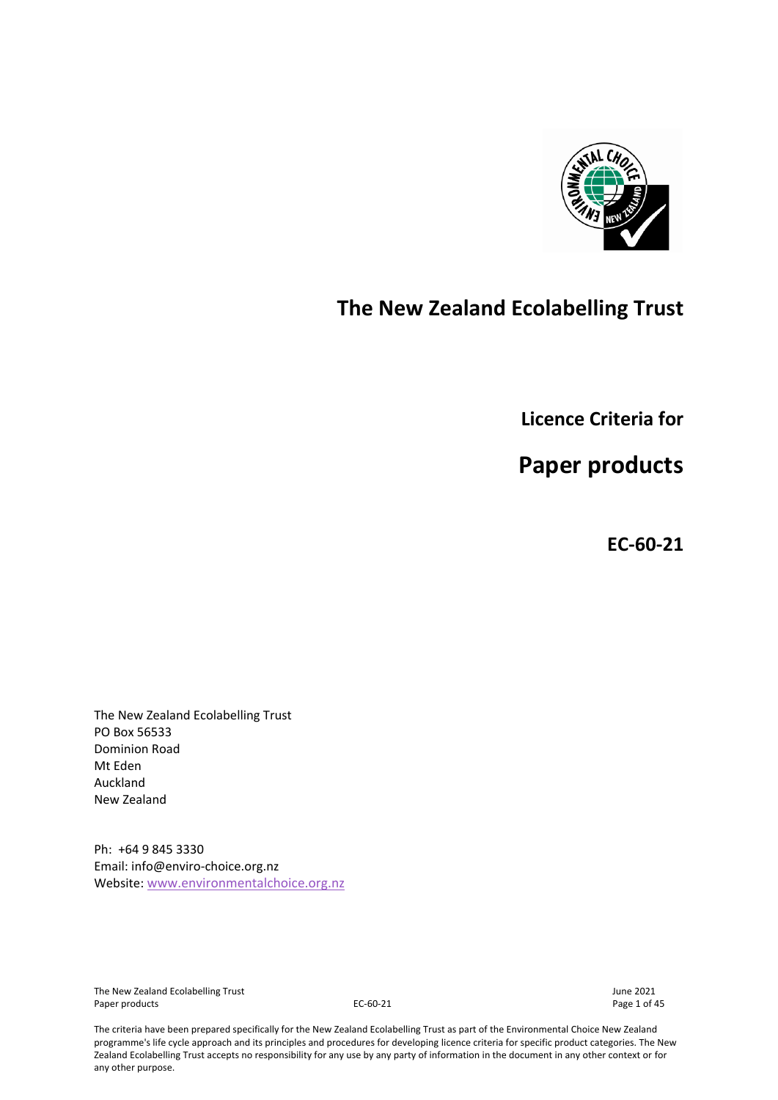

# **The New Zealand Ecolabelling Trust**

**Licence Criteria for**

**Paper products**

**EC-60-21**

The New Zealand Ecolabelling Trust PO Box 56533 Dominion Road Mt Eden Auckland New Zealand

Ph: +64 9 845 3330 Email: info@enviro-choice.org.nz Website: [www.environmentalchoice.org.nz](http://www.environmentalchoice.org.nz/)

The New Zealand Ecolabelling Trust June 2021 Paper products and the contract of the C-60-21 C-60-21 Page 1 of 45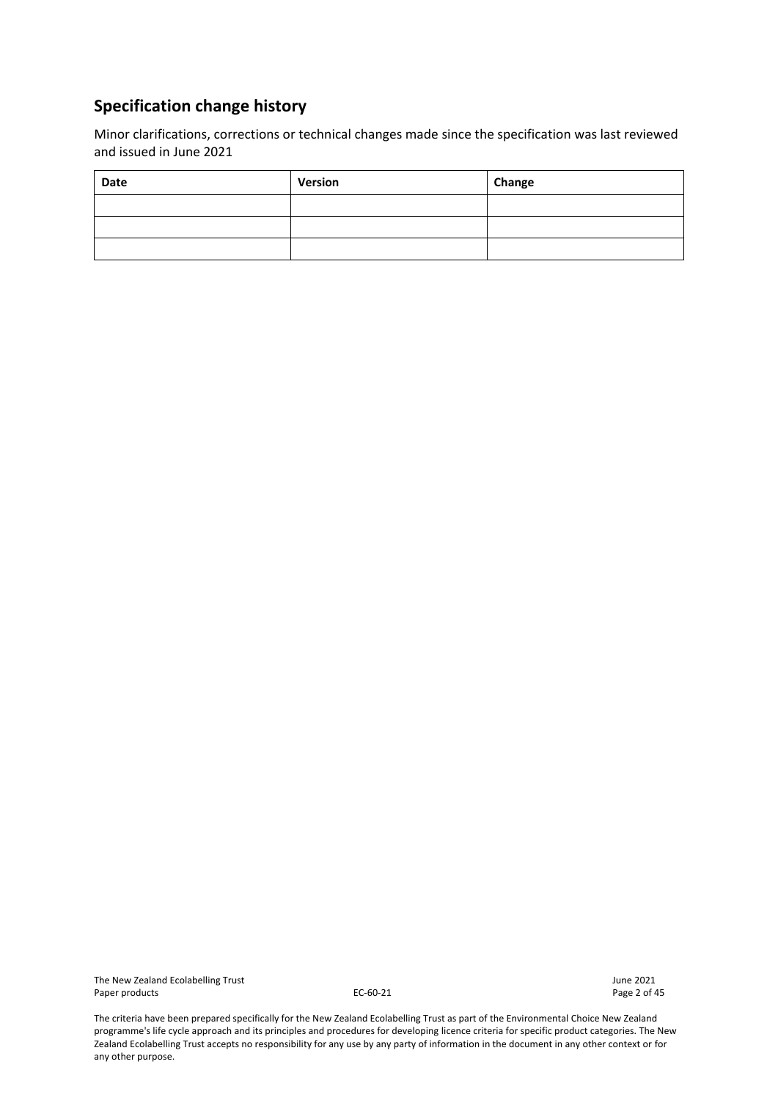# **Specification change history**

Minor clarifications, corrections or technical changes made since the specification was last reviewed and issued in June 2021

| Date | Version | Change |
|------|---------|--------|
|      |         |        |
|      |         |        |
|      |         |        |

The New Zealand Ecolabelling Trust<br>
Paper products Page 2 of 45 Paper products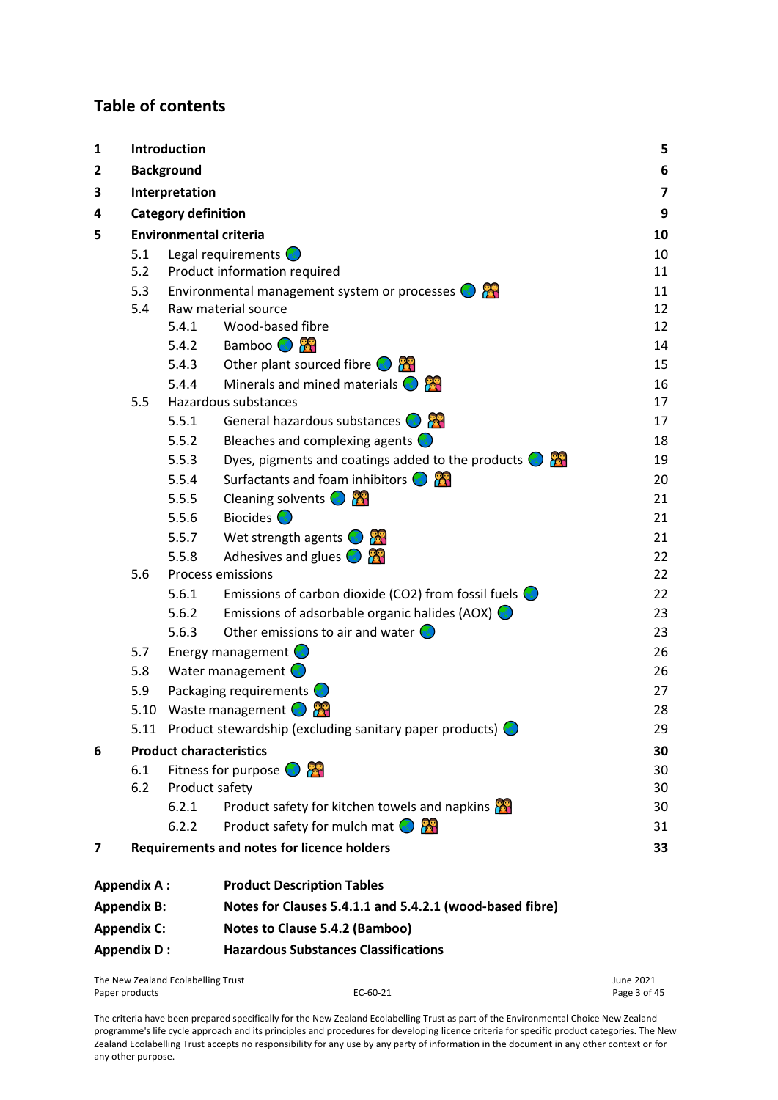# **Table of contents**

| 1 | Introduction       |                                    |                                                                |                         |  |  |  |
|---|--------------------|------------------------------------|----------------------------------------------------------------|-------------------------|--|--|--|
| 2 |                    | <b>Background</b>                  |                                                                | 6                       |  |  |  |
| 3 |                    | Interpretation                     |                                                                | $\overline{\mathbf{z}}$ |  |  |  |
| 4 |                    | <b>Category definition</b>         |                                                                | 9                       |  |  |  |
| 5 |                    |                                    | <b>Environmental criteria</b>                                  | 10                      |  |  |  |
|   | 5.1                |                                    | Legal requirements $\bigcirc$                                  | 10                      |  |  |  |
|   | 5.2                |                                    | Product information required                                   | 11                      |  |  |  |
|   | 5.3                |                                    | Environmental management system or processes $\bigcirc$        | 11                      |  |  |  |
|   | 5.4                |                                    | Raw material source                                            | 12                      |  |  |  |
|   |                    | 5.4.1                              | Wood-based fibre                                               | 12                      |  |  |  |
|   |                    | 5.4.2                              | Bamboo <b>O</b>                                                | 14                      |  |  |  |
|   |                    | 5.4.3                              | Other plant sourced fibre $\bigcirc$                           | 15                      |  |  |  |
|   |                    | 5.4.4                              | Minerals and mined materials $\bigodot$                        | 16                      |  |  |  |
|   | 5.5                |                                    | Hazardous substances                                           | 17                      |  |  |  |
|   |                    | 5.5.1                              | General hazardous substances $\bigodot$ $\bigotimes$           | 17                      |  |  |  |
|   |                    | 5.5.2                              | Bleaches and complexing agents $\bigcirc$                      | 18                      |  |  |  |
|   |                    | 5.5.3                              | Dyes, pigments and coatings added to the products $\bigcirc$   | 19                      |  |  |  |
|   |                    | 5.5.4                              | Surfactants and foam inhibitors $\bigcirc$ $\bigcirc$          | 20                      |  |  |  |
|   |                    | 5.5.5                              | Cleaning solvents $\bigodot$                                   | 21                      |  |  |  |
|   |                    | 5.5.6                              | Biocides $\bigcirc$                                            | 21                      |  |  |  |
|   |                    | 5.5.7                              | Wet strength agents $\bigcirc$                                 | 21                      |  |  |  |
|   |                    | 5.5.8                              | Adhesives and glues $\bigcirc$                                 | 22                      |  |  |  |
|   | 5.6                |                                    | <b>Process emissions</b>                                       | 22                      |  |  |  |
|   |                    | 5.6.1                              | Emissions of carbon dioxide (CO2) from fossil fuels $\bigcirc$ | 22                      |  |  |  |
|   |                    | 5.6.2                              | Emissions of adsorbable organic halides (AOX) $\bigcirc$       | 23                      |  |  |  |
|   |                    | 5.6.3                              | Other emissions to air and water $\bigcirc$                    | 23                      |  |  |  |
|   | 5.7                |                                    | Energy management $\bigcirc$                                   | 26                      |  |  |  |
|   | 5.8                |                                    | Water management $\bigcirc$                                    | 26                      |  |  |  |
|   | 5.9                |                                    | Packaging requirements <b>C</b>                                | 27                      |  |  |  |
|   |                    |                                    | 5.10 Waste management $\bigodot$                               | 28                      |  |  |  |
|   |                    |                                    | 5.11 Product stewardship (excluding sanitary paper products)   | 29                      |  |  |  |
| 6 |                    |                                    | <b>Product characteristics</b>                                 | 30                      |  |  |  |
|   | 6.1                |                                    | Fitness for purpose $\bigcirc$ $\bigcirc$                      | 30                      |  |  |  |
|   | 6.2                | Product safety                     |                                                                | 30                      |  |  |  |
|   |                    | 6.2.1                              | Product safety for kitchen towels and napkins                  | 30                      |  |  |  |
|   |                    | 6.2.2                              | Product safety for mulch mat $\bigcirc$                        | 31                      |  |  |  |
| 7 |                    |                                    | <b>Requirements and notes for licence holders</b>              | 33                      |  |  |  |
|   | <b>Appendix A:</b> |                                    | <b>Product Description Tables</b>                              |                         |  |  |  |
|   | <b>Appendix B:</b> |                                    | Notes for Clauses 5.4.1.1 and 5.4.2.1 (wood-based fibre)       |                         |  |  |  |
|   | <b>Appendix C:</b> |                                    | Notes to Clause 5.4.2 (Bamboo)                                 |                         |  |  |  |
|   | <b>Appendix D:</b> |                                    | <b>Hazardous Substances Classifications</b>                    |                         |  |  |  |
|   |                    | The New Zealand Ecolabelling Trust |                                                                | June 2021               |  |  |  |
|   | Paper products     |                                    | EC-60-21                                                       | Page 3 of 45            |  |  |  |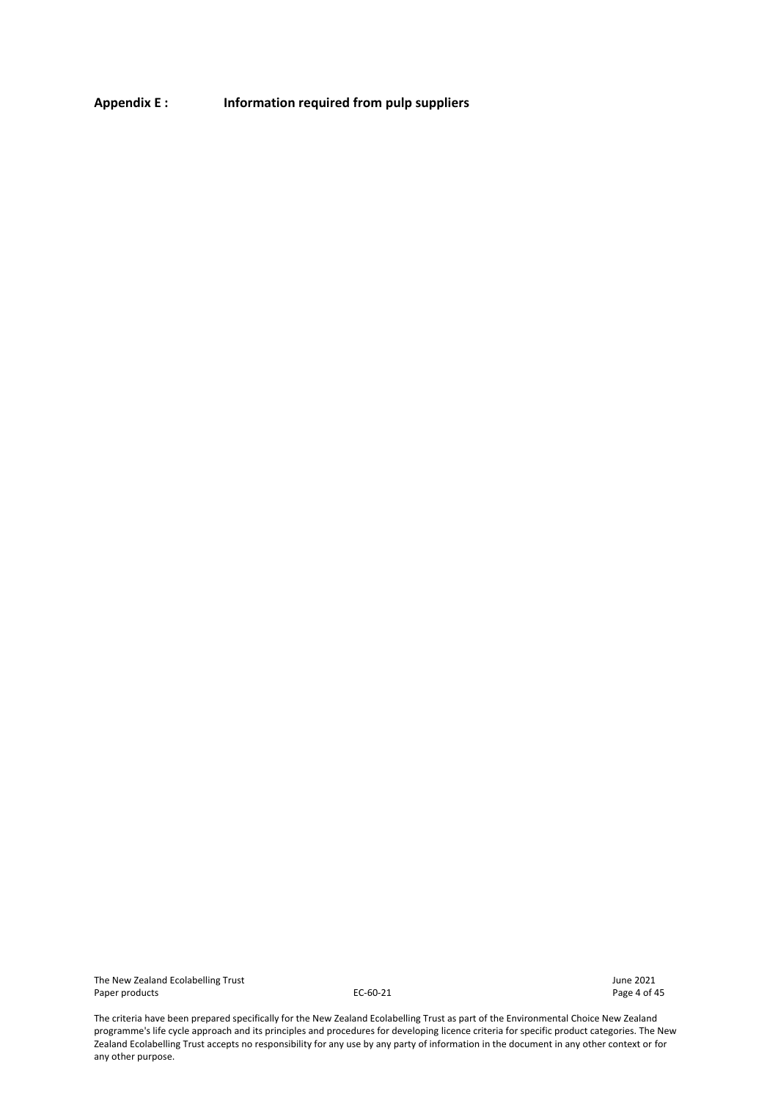**Appendix E : [Information required from pulp suppliers](#page-43-0)**

The New Zealand Ecolabelling Trust and the South Control of the South America Control of the South America Control of the South America Control of the Page 4 of 45 Paper products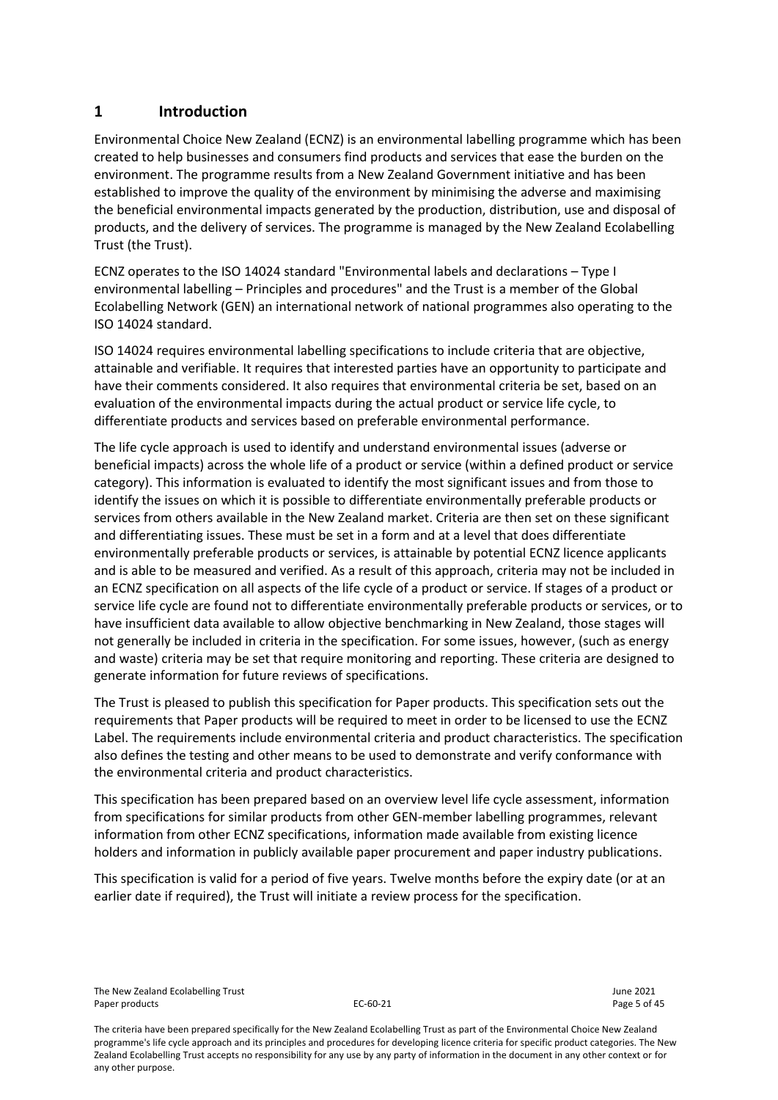# <span id="page-4-0"></span>**1 Introduction**

Environmental Choice New Zealand (ECNZ) is an environmental labelling programme which has been created to help businesses and consumers find products and services that ease the burden on the environment. The programme results from a New Zealand Government initiative and has been established to improve the quality of the environment by minimising the adverse and maximising the beneficial environmental impacts generated by the production, distribution, use and disposal of products, and the delivery of services. The programme is managed by the New Zealand Ecolabelling Trust (the Trust).

ECNZ operates to the ISO 14024 standard "Environmental labels and declarations – Type I environmental labelling – Principles and procedures" and the Trust is a member of the Global Ecolabelling Network (GEN) an international network of national programmes also operating to the ISO 14024 standard.

ISO 14024 requires environmental labelling specifications to include criteria that are objective, attainable and verifiable. It requires that interested parties have an opportunity to participate and have their comments considered. It also requires that environmental criteria be set, based on an evaluation of the environmental impacts during the actual product or service life cycle, to differentiate products and services based on preferable environmental performance.

The life cycle approach is used to identify and understand environmental issues (adverse or beneficial impacts) across the whole life of a product or service (within a defined product or service category). This information is evaluated to identify the most significant issues and from those to identify the issues on which it is possible to differentiate environmentally preferable products or services from others available in the New Zealand market. Criteria are then set on these significant and differentiating issues. These must be set in a form and at a level that does differentiate environmentally preferable products or services, is attainable by potential ECNZ licence applicants and is able to be measured and verified. As a result of this approach, criteria may not be included in an ECNZ specification on all aspects of the life cycle of a product or service. If stages of a product or service life cycle are found not to differentiate environmentally preferable products or services, or to have insufficient data available to allow objective benchmarking in New Zealand, those stages will not generally be included in criteria in the specification. For some issues, however, (such as energy and waste) criteria may be set that require monitoring and reporting. These criteria are designed to generate information for future reviews of specifications.

The Trust is pleased to publish this specification for Paper products. This specification sets out the requirements that Paper products will be required to meet in order to be licensed to use the ECNZ Label. The requirements include environmental criteria and product characteristics. The specification also defines the testing and other means to be used to demonstrate and verify conformance with the environmental criteria and product characteristics.

This specification has been prepared based on an overview level life cycle assessment, information from specifications for similar products from other GEN-member labelling programmes, relevant information from other ECNZ specifications, information made available from existing licence holders and information in publicly available paper procurement and paper industry publications.

This specification is valid for a period of five years. Twelve months before the expiry date (or at an earlier date if required), the Trust will initiate a review process for the specification.

The New Zealand Ecolabelling Trust June 2021 Paper products and the control of the control of the EC-60-21 Page 5 of 45 and the control of the Page 5 of 45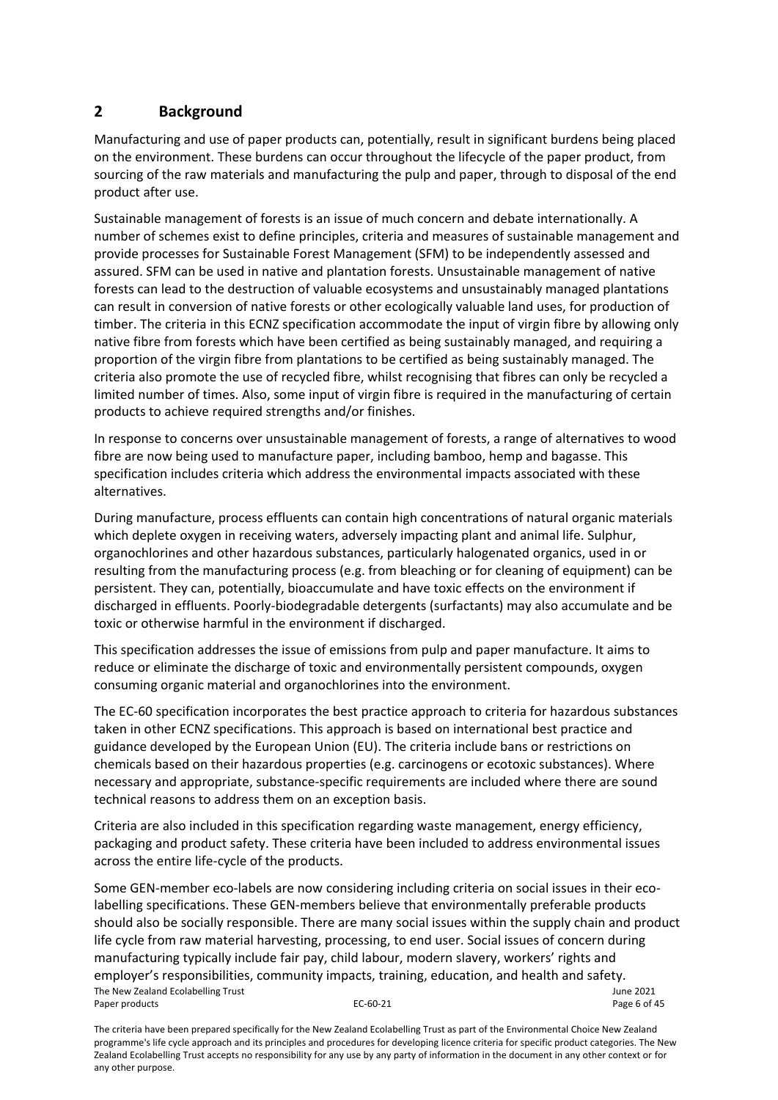# <span id="page-5-0"></span>**2 Background**

Manufacturing and use of paper products can, potentially, result in significant burdens being placed on the environment. These burdens can occur throughout the lifecycle of the paper product, from sourcing of the raw materials and manufacturing the pulp and paper, through to disposal of the end product after use.

Sustainable management of forests is an issue of much concern and debate internationally. A number of schemes exist to define principles, criteria and measures of sustainable management and provide processes for Sustainable Forest Management (SFM) to be independently assessed and assured. SFM can be used in native and plantation forests. Unsustainable management of native forests can lead to the destruction of valuable ecosystems and unsustainably managed plantations can result in conversion of native forests or other ecologically valuable land uses, for production of timber. The criteria in this ECNZ specification accommodate the input of virgin fibre by allowing only native fibre from forests which have been certified as being sustainably managed, and requiring a proportion of the virgin fibre from plantations to be certified as being sustainably managed. The criteria also promote the use of recycled fibre, whilst recognising that fibres can only be recycled a limited number of times. Also, some input of virgin fibre is required in the manufacturing of certain products to achieve required strengths and/or finishes.

In response to concerns over unsustainable management of forests, a range of alternatives to wood fibre are now being used to manufacture paper, including bamboo, hemp and bagasse. This specification includes criteria which address the environmental impacts associated with these alternatives.

During manufacture, process effluents can contain high concentrations of natural organic materials which deplete oxygen in receiving waters, adversely impacting plant and animal life. Sulphur, organochlorines and other hazardous substances, particularly halogenated organics, used in or resulting from the manufacturing process (e.g. from bleaching or for cleaning of equipment) can be persistent. They can, potentially, bioaccumulate and have toxic effects on the environment if discharged in effluents. Poorly-biodegradable detergents (surfactants) may also accumulate and be toxic or otherwise harmful in the environment if discharged.

This specification addresses the issue of emissions from pulp and paper manufacture. It aims to reduce or eliminate the discharge of toxic and environmentally persistent compounds, oxygen consuming organic material and organochlorines into the environment.

The EC-60 specification incorporates the best practice approach to criteria for hazardous substances taken in other ECNZ specifications. This approach is based on international best practice and guidance developed by the European Union (EU). The criteria include bans or restrictions on chemicals based on their hazardous properties (e.g. carcinogens or ecotoxic substances). Where necessary and appropriate, substance-specific requirements are included where there are sound technical reasons to address them on an exception basis.

Criteria are also included in this specification regarding waste management, energy efficiency, packaging and product safety. These criteria have been included to address environmental issues across the entire life-cycle of the products.

The New Zealand Ecolabelling Trust June 2021 Paper products and the extendion of the EC-60-21 Page 6 of 45 Some GEN-member eco-labels are now considering including criteria on social issues in their ecolabelling specifications. These GEN-members believe that environmentally preferable products should also be socially responsible. There are many social issues within the supply chain and product life cycle from raw material harvesting, processing, to end user. Social issues of concern during manufacturing typically include fair pay, child labour, modern slavery, workers' rights and employer's responsibilities, community impacts, training, education, and health and safety.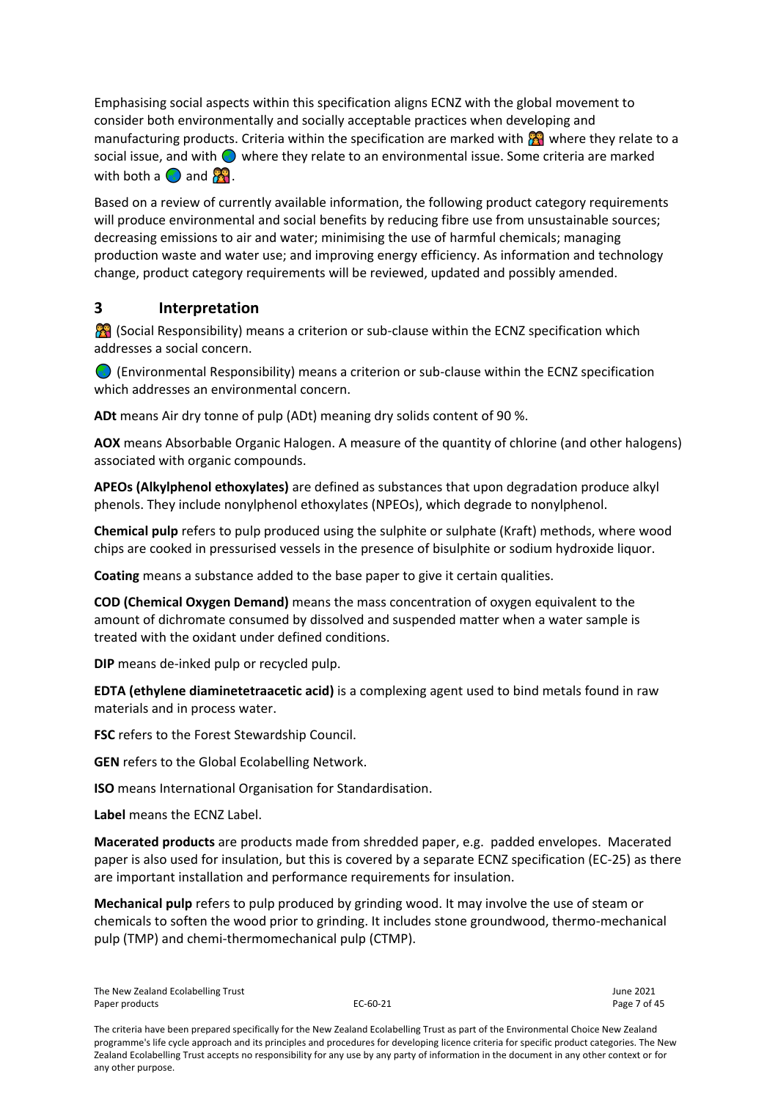Emphasising social aspects within this specification aligns ECNZ with the global movement to consider both environmentally and socially acceptable practices when developing and manufacturing products. Criteria within the specification are marked with  $\mathbb{R}^2$  where they relate to a social issue, and with  $\bigcirc$  where they relate to an environmental issue. Some criteria are marked with both a  $\bigcirc$  and  $\bigcirc$ .

Based on a review of currently available information, the following product category requirements will produce environmental and social benefits by reducing fibre use from unsustainable sources; decreasing emissions to air and water; minimising the use of harmful chemicals; managing production waste and water use; and improving energy efficiency. As information and technology change, product category requirements will be reviewed, updated and possibly amended.

# <span id="page-6-0"></span>**3 Interpretation**

**88** (Social Responsibility) means a criterion or sub-clause within the ECNZ specification which addresses a social concern.

 (Environmental Responsibility) means a criterion or sub-clause within the ECNZ specification which addresses an environmental concern.

**ADt** means Air dry tonne of pulp (ADt) meaning dry solids content of 90 %.

**AOX** means Absorbable Organic Halogen. A measure of the quantity of chlorine (and other halogens) associated with organic compounds.

**APEOs (Alkylphenol ethoxylates)** are defined as substances that upon degradation produce alkyl phenols. They include nonylphenol ethoxylates (NPEOs), which degrade to nonylphenol.

**Chemical pulp** refers to pulp produced using the sulphite or sulphate (Kraft) methods, where wood chips are cooked in pressurised vessels in the presence of bisulphite or sodium hydroxide liquor.

**Coating** means a substance added to the base paper to give it certain qualities.

**COD (Chemical Oxygen Demand)** means the mass concentration of oxygen equivalent to the amount of dichromate consumed by dissolved and suspended matter when a water sample is treated with the oxidant under defined conditions.

**DIP** means de-inked pulp or recycled pulp.

**EDTA (ethylene diaminetetraacetic acid)** is a complexing agent used to bind metals found in raw materials and in process water.

**FSC** refers to the Forest Stewardship Council.

**GEN** refers to the Global Ecolabelling Network.

**ISO** means International Organisation for Standardisation.

**Label** means the ECNZ Label.

**Macerated products** are products made from shredded paper, e.g. padded envelopes. Macerated paper is also used for insulation, but this is covered by a separate ECNZ specification (EC-25) as there are important installation and performance requirements for insulation.

**Mechanical pulp** refers to pulp produced by grinding wood. It may involve the use of steam or chemicals to soften the wood prior to grinding. It includes stone groundwood, thermo-mechanical pulp (TMP) and chemi-thermomechanical pulp (CTMP).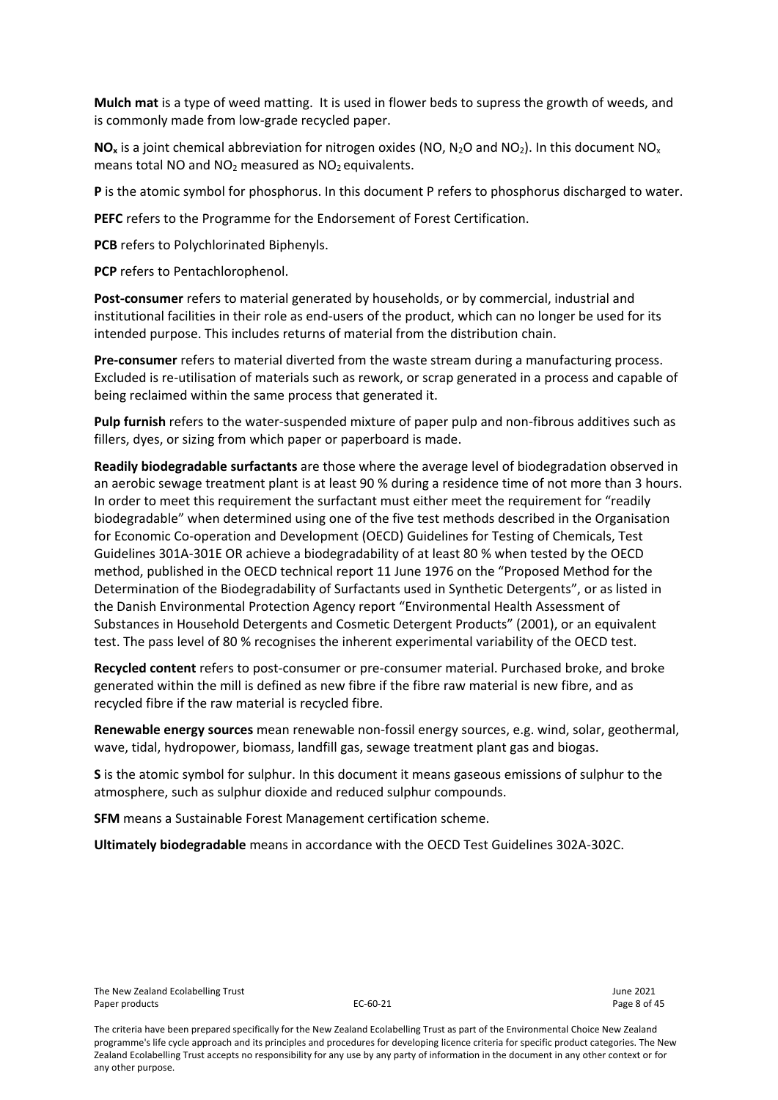**Mulch mat** is a type of weed matting. It is used in flower beds to supress the growth of weeds, and is commonly made from low-grade recycled paper.

 $NO<sub>x</sub>$  is a joint chemical abbreviation for nitrogen oxides (NO, N<sub>2</sub>O and NO<sub>2</sub>). In this document NO<sub>x</sub> means total NO and  $NO<sub>2</sub>$  measured as  $NO<sub>2</sub>$  equivalents.

**P** is the atomic symbol for phosphorus. In this document P refers to phosphorus discharged to water.

**PEFC** refers to the Programme for the Endorsement of Forest Certification.

**PCB** refers to Polychlorinated Biphenyls.

**PCP** refers to Pentachlorophenol.

**Post-consumer** refers to material generated by households, or by commercial, industrial and institutional facilities in their role as end-users of the product, which can no longer be used for its intended purpose. This includes returns of material from the distribution chain.

**Pre-consumer** refers to material diverted from the waste stream during a manufacturing process. Excluded is re-utilisation of materials such as rework, or scrap generated in a process and capable of being reclaimed within the same process that generated it.

**Pulp furnish** refers to the water-suspended mixture of paper pulp and non-fibrous additives such as fillers, dyes, or sizing from which paper or paperboard is made.

**Readily biodegradable surfactants** are those where the average level of biodegradation observed in an aerobic sewage treatment plant is at least 90 % during a residence time of not more than 3 hours. In order to meet this requirement the surfactant must either meet the requirement for "readily biodegradable" when determined using one of the five test methods described in the Organisation for Economic Co-operation and Development (OECD) Guidelines for Testing of Chemicals, Test Guidelines 301A-301E OR achieve a biodegradability of at least 80 % when tested by the OECD method, published in the OECD technical report 11 June 1976 on the "Proposed Method for the Determination of the Biodegradability of Surfactants used in Synthetic Detergents", or as listed in the Danish Environmental Protection Agency report "Environmental Health Assessment of Substances in Household Detergents and Cosmetic Detergent Products" (2001), or an equivalent test. The pass level of 80 % recognises the inherent experimental variability of the OECD test.

**Recycled content** refers to post-consumer or pre-consumer material. Purchased broke, and broke generated within the mill is defined as new fibre if the fibre raw material is new fibre, and as recycled fibre if the raw material is recycled fibre.

**Renewable energy sources** mean renewable non-fossil energy sources, e.g. wind, solar, geothermal, wave, tidal, hydropower, biomass, landfill gas, sewage treatment plant gas and biogas.

**S** is the atomic symbol for sulphur. In this document it means gaseous emissions of sulphur to the atmosphere, such as sulphur dioxide and reduced sulphur compounds.

**SFM** means a Sustainable Forest Management certification scheme.

**Ultimately biodegradable** means in accordance with the OECD Test Guidelines 302A-302C.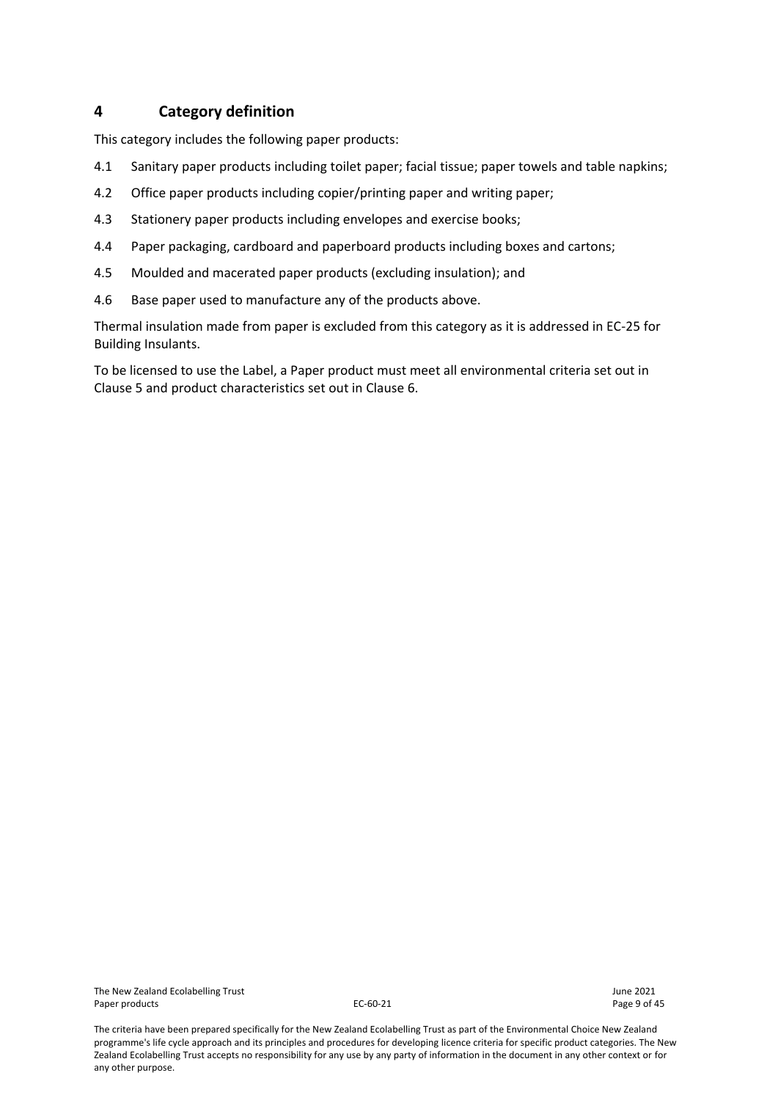# <span id="page-8-0"></span>**4 Category definition**

This category includes the following paper products:

- 4.1 Sanitary paper products including toilet paper; facial tissue; paper towels and table napkins;
- 4.2 Office paper products including copier/printing paper and writing paper;
- 4.3 Stationery paper products including envelopes and exercise books;
- 4.4 Paper packaging, cardboard and paperboard products including boxes and cartons;
- 4.5 Moulded and macerated paper products (excluding insulation); and
- 4.6 Base paper used to manufacture any of the products above.

Thermal insulation made from paper is excluded from this category as it is addressed in EC-25 for Building Insulants.

To be licensed to use the Label, a Paper product must meet all environmental criteria set out in Clause 5 and product characteristics set out in Clause 6.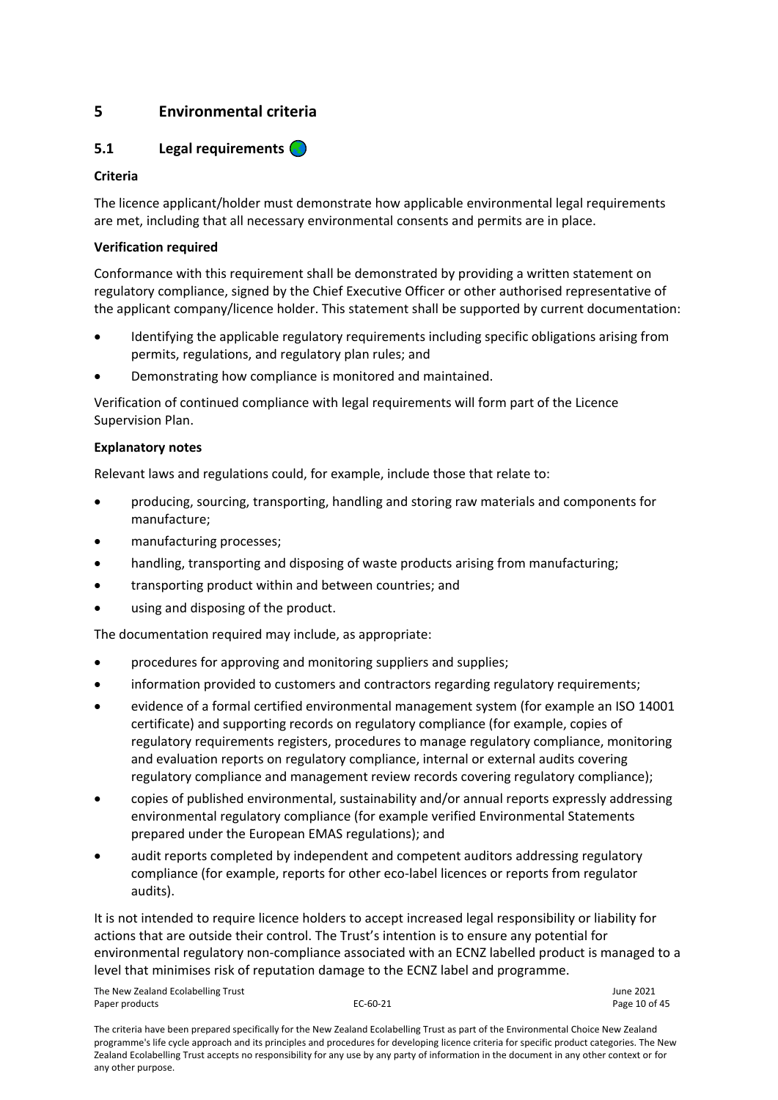# <span id="page-9-0"></span>**5 Environmental criteria**

# <span id="page-9-1"></span>**5.1 Legal requirements**

# **Criteria**

The licence applicant/holder must demonstrate how applicable environmental legal requirements are met, including that all necessary environmental consents and permits are in place.

# **Verification required**

Conformance with this requirement shall be demonstrated by providing a written statement on regulatory compliance, signed by the Chief Executive Officer or other authorised representative of the applicant company/licence holder. This statement shall be supported by current documentation:

- Identifying the applicable regulatory requirements including specific obligations arising from permits, regulations, and regulatory plan rules; and
- Demonstrating how compliance is monitored and maintained.

Verification of continued compliance with legal requirements will form part of the Licence Supervision Plan.

# **Explanatory notes**

Relevant laws and regulations could, for example, include those that relate to:

- producing, sourcing, transporting, handling and storing raw materials and components for manufacture;
- manufacturing processes;
- handling, transporting and disposing of waste products arising from manufacturing;
- transporting product within and between countries; and
- using and disposing of the product.

The documentation required may include, as appropriate:

- procedures for approving and monitoring suppliers and supplies;
- information provided to customers and contractors regarding regulatory requirements;
- evidence of a formal certified environmental management system (for example an ISO 14001 certificate) and supporting records on regulatory compliance (for example, copies of regulatory requirements registers, procedures to manage regulatory compliance, monitoring and evaluation reports on regulatory compliance, internal or external audits covering regulatory compliance and management review records covering regulatory compliance);
- copies of published environmental, sustainability and/or annual reports expressly addressing environmental regulatory compliance (for example verified Environmental Statements prepared under the European EMAS regulations); and
- audit reports completed by independent and competent auditors addressing regulatory compliance (for example, reports for other eco-label licences or reports from regulator audits).

It is not intended to require licence holders to accept increased legal responsibility or liability for actions that are outside their control. The Trust's intention is to ensure any potential for environmental regulatory non-compliance associated with an ECNZ labelled product is managed to a level that minimises risk of reputation damage to the ECNZ label and programme.

The New Zealand Ecolabelling Trust June 2021 Paper products and the extended of 45 EC-60-21 Paper products and the Page 10 of 45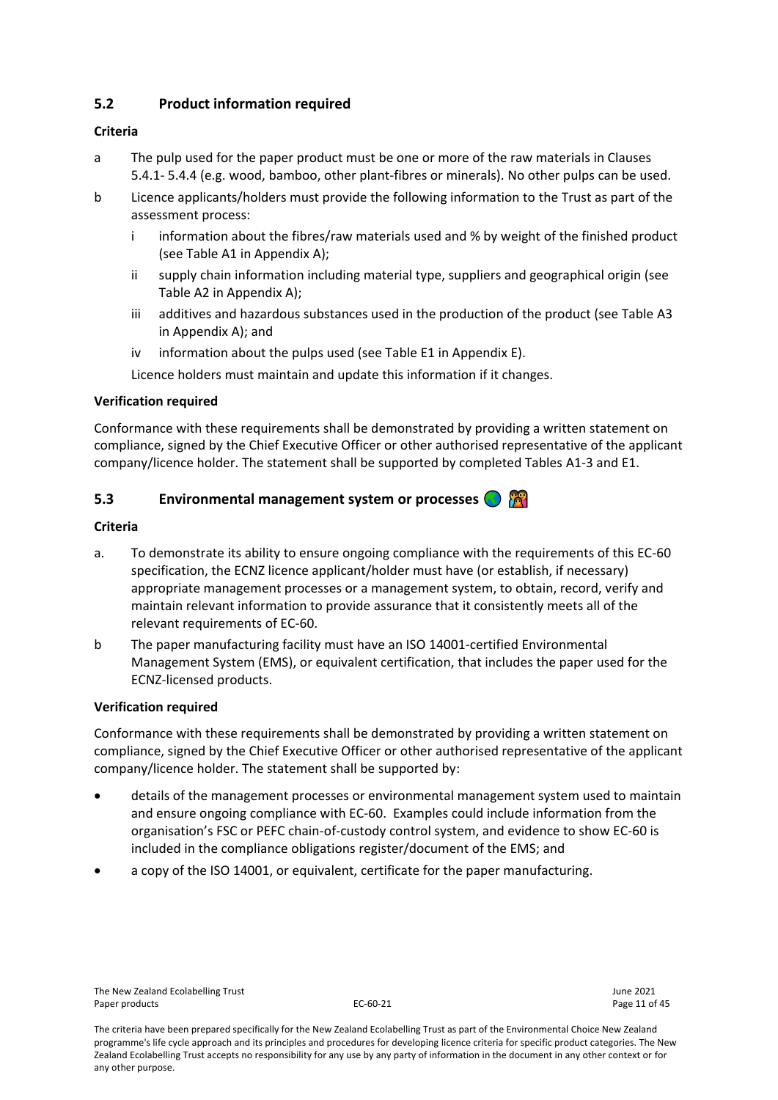# <span id="page-10-0"></span>**5.2 Product information required**

# **Criteria**

- a The pulp used for the paper product must be one or more of the raw materials in Clauses 5.4.1- 5.4.4 (e.g. wood, bamboo, other plant-fibres or minerals). No other pulps can be used.
- b Licence applicants/holders must provide the following information to the Trust as part of the assessment process:
	- i information about the fibres/raw materials used and % by weight of the finished product (see Table A1 in Appendix A);
	- ii supply chain information including material type, suppliers and geographical origin (see Table A2 in Appendix A);
	- iii additives and hazardous substances used in the production of the product (see Table A3 in Appendix A); and
	- iv information about the pulps used (see Table E1 in Appendix E).

Licence holders must maintain and update this information if it changes.

# **Verification required**

Conformance with these requirements shall be demonstrated by providing a written statement on compliance, signed by the Chief Executive Officer or other authorised representative of the applicant company/licence holder. The statement shall be supported by completed Tables A1-3 and E1.

# <span id="page-10-1"></span>**5.3 Environmental management system or processes**

# **Criteria**

- a. To demonstrate its ability to ensure ongoing compliance with the requirements of this EC-60 specification, the ECNZ licence applicant/holder must have (or establish, if necessary) appropriate management processes or a management system, to obtain, record, verify and maintain relevant information to provide assurance that it consistently meets all of the relevant requirements of EC-60.
- b The paper manufacturing facility must have an ISO 14001-certified Environmental Management System (EMS), or equivalent certification, that includes the paper used for the ECNZ-licensed products.

#### **Verification required**

Conformance with these requirements shall be demonstrated by providing a written statement on compliance, signed by the Chief Executive Officer or other authorised representative of the applicant company/licence holder. The statement shall be supported by:

- details of the management processes or environmental management system used to maintain and ensure ongoing compliance with EC-60. Examples could include information from the organisation's FSC or PEFC chain-of-custody control system, and evidence to show EC-60 is included in the compliance obligations register/document of the EMS; and
- a copy of the ISO 14001, or equivalent, certificate for the paper manufacturing.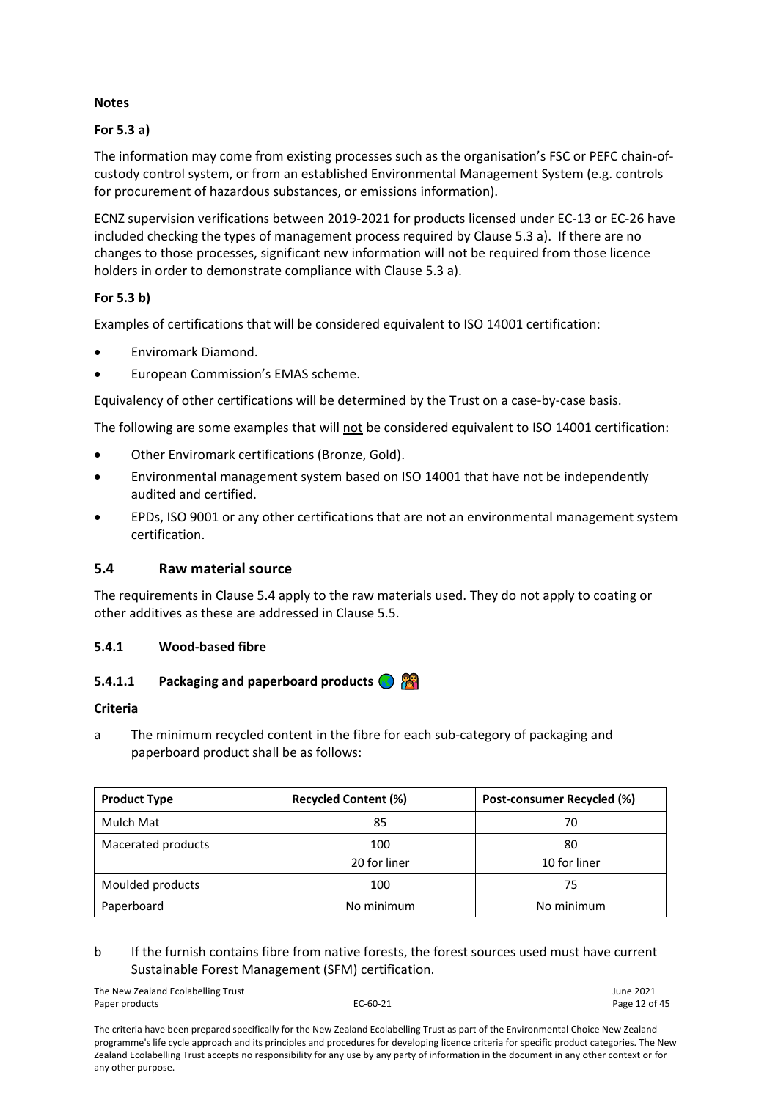# **Notes**

# **For 5.3 a)**

The information may come from existing processes such as the organisation's FSC or PEFC chain-ofcustody control system, or from an established Environmental Management System (e.g. controls for procurement of hazardous substances, or emissions information).

ECNZ supervision verifications between 2019-2021 for products licensed under EC-13 or EC-26 have included checking the types of management process required by Clause 5.3 a). If there are no changes to those processes, significant new information will not be required from those licence holders in order to demonstrate compliance with Clause 5.3 a).

# **For 5.3 b)**

Examples of certifications that will be considered equivalent to ISO 14001 certification:

- Enviromark Diamond.
- European Commission's EMAS scheme.

Equivalency of other certifications will be determined by the Trust on a case-by-case basis.

The following are some examples that will not be considered equivalent to ISO 14001 certification:

- Other Enviromark certifications (Bronze, Gold).
- Environmental management system based on ISO 14001 that have not be independently audited and certified.
- EPDs, ISO 9001 or any other certifications that are not an environmental management system certification.

# <span id="page-11-0"></span>**5.4 Raw material source**

The requirements in Clause 5.4 apply to the raw materials used. They do not apply to coating or other additives as these are addressed in Clause 5.5.

#### <span id="page-11-1"></span>**5.4.1 Wood-based fibre**

#### **5.4.1.1 Packaging and paperboard products**

#### **Criteria**

a The minimum recycled content in the fibre for each sub-category of packaging and paperboard product shall be as follows:

| <b>Product Type</b> | <b>Recycled Content (%)</b> | Post-consumer Recycled (%) |
|---------------------|-----------------------------|----------------------------|
| Mulch Mat           | 85                          | 70                         |
| Macerated products  | 100<br>20 for liner         | 80<br>10 for liner         |
| Moulded products    | 100                         | 75                         |
| Paperboard          | No minimum                  | No minimum                 |

# b If the furnish contains fibre from native forests, the forest sources used must have current Sustainable Forest Management (SFM) certification.

The New Zealand Ecolabelling Trust June 2021 Paper products and the extended of the EC-60-21 Paper products and the Page 12 of 45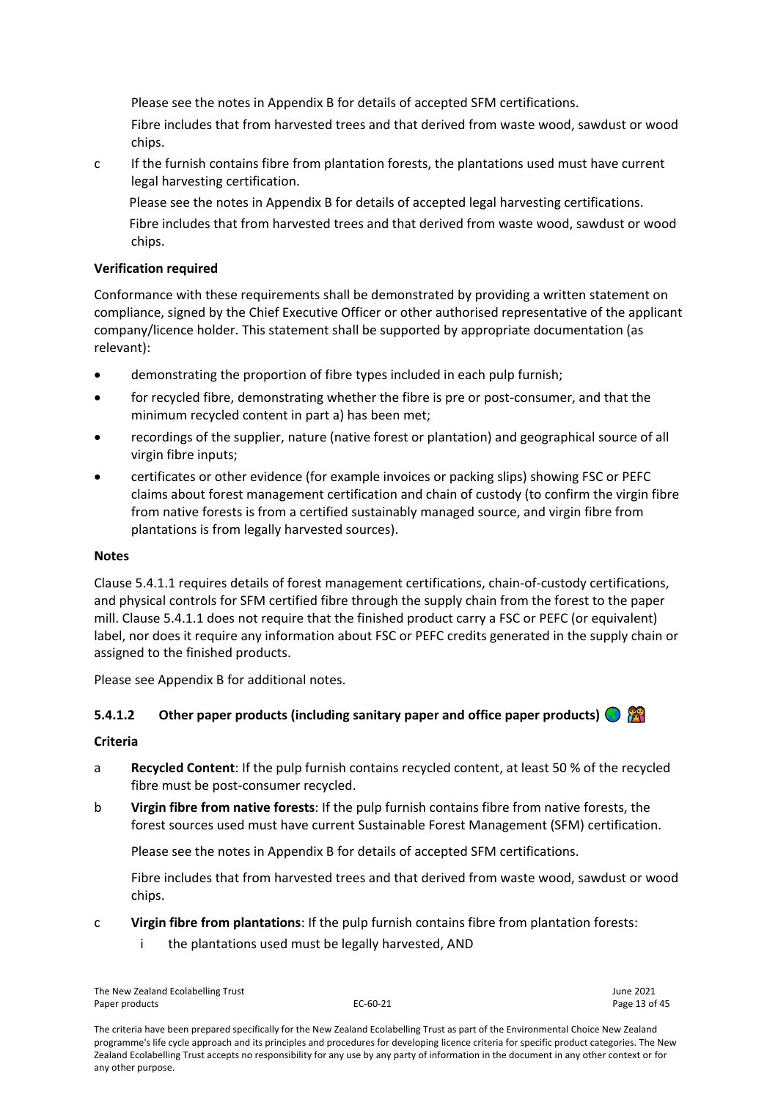Please see the notes in Appendix B for details of accepted SFM certifications.

Fibre includes that from harvested trees and that derived from waste wood, sawdust or wood chips.

c If the furnish contains fibre from plantation forests, the plantations used must have current legal harvesting certification.

Please see the notes in Appendix B for details of accepted legal harvesting certifications. Fibre includes that from harvested trees and that derived from waste wood, sawdust or wood

# **Verification required**

chips.

Conformance with these requirements shall be demonstrated by providing a written statement on compliance, signed by the Chief Executive Officer or other authorised representative of the applicant company/licence holder. This statement shall be supported by appropriate documentation (as relevant):

- demonstrating the proportion of fibre types included in each pulp furnish;
- for recycled fibre, demonstrating whether the fibre is pre or post-consumer, and that the minimum recycled content in part a) has been met;
- recordings of the supplier, nature (native forest or plantation) and geographical source of all virgin fibre inputs;
- certificates or other evidence (for example invoices or packing slips) showing FSC or PEFC claims about forest management certification and chain of custody (to confirm the virgin fibre from native forests is from a certified sustainably managed source, and virgin fibre from plantations is from legally harvested sources).

# **Notes**

Clause 5.4.1.1 requires details of forest management certifications, chain-of-custody certifications, and physical controls for SFM certified fibre through the supply chain from the forest to the paper mill. Clause 5.4.1.1 does not require that the finished product carry a FSC or PEFC (or equivalent) label, nor does it require any information about FSC or PEFC credits generated in the supply chain or assigned to the finished products.

Please see Appendix B for additional notes.

# **5.4.1.2** Other paper products (including sanitary paper and office paper products)  $\bigcirc$

#### **Criteria**

- a **Recycled Content**: If the pulp furnish contains recycled content, at least 50 % of the recycled fibre must be post-consumer recycled.
- b **Virgin fibre from native forests**: If the pulp furnish contains fibre from native forests, the forest sources used must have current Sustainable Forest Management (SFM) certification.

Please see the notes in Appendix B for details of accepted SFM certifications.

Fibre includes that from harvested trees and that derived from waste wood, sawdust or wood chips.

- c **Virgin fibre from plantations**: If the pulp furnish contains fibre from plantation forests:
	- i the plantations used must be legally harvested, AND

The New Zealand Ecolabelling Trust June 2021 Paper products **EC-60-21** Page 13 of 45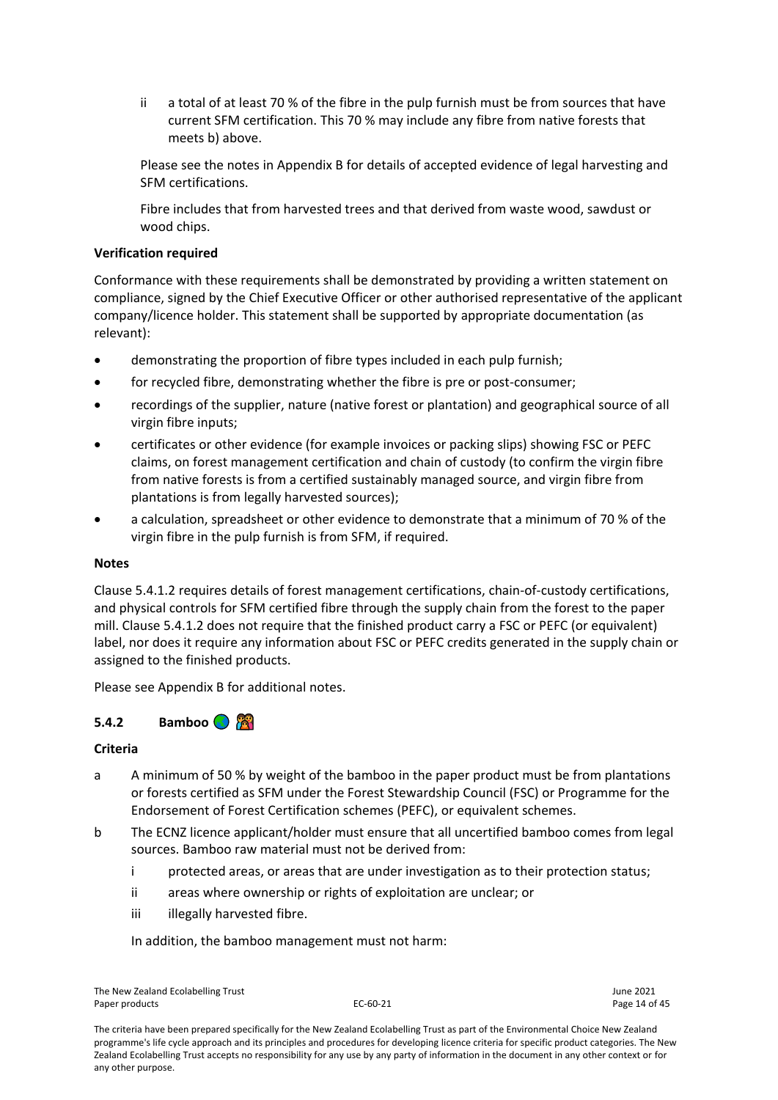ii a total of at least 70 % of the fibre in the pulp furnish must be from sources that have current SFM certification. This 70 % may include any fibre from native forests that meets b) above.

Please see the notes in Appendix B for details of accepted evidence of legal harvesting and SFM certifications.

Fibre includes that from harvested trees and that derived from waste wood, sawdust or wood chips.

#### **Verification required**

Conformance with these requirements shall be demonstrated by providing a written statement on compliance, signed by the Chief Executive Officer or other authorised representative of the applicant company/licence holder. This statement shall be supported by appropriate documentation (as relevant):

- demonstrating the proportion of fibre types included in each pulp furnish;
- for recycled fibre, demonstrating whether the fibre is pre or post-consumer;
- recordings of the supplier, nature (native forest or plantation) and geographical source of all virgin fibre inputs;
- certificates or other evidence (for example invoices or packing slips) showing FSC or PEFC claims, on forest management certification and chain of custody (to confirm the virgin fibre from native forests is from a certified sustainably managed source, and virgin fibre from plantations is from legally harvested sources);
- a calculation, spreadsheet or other evidence to demonstrate that a minimum of 70 % of the virgin fibre in the pulp furnish is from SFM, if required.

#### **Notes**

Clause 5.4.1.2 requires details of forest management certifications, chain-of-custody certifications, and physical controls for SFM certified fibre through the supply chain from the forest to the paper mill. Clause 5.4.1.2 does not require that the finished product carry a FSC or PEFC (or equivalent) label, nor does it require any information about FSC or PEFC credits generated in the supply chain or assigned to the finished products.

Please see Appendix B for additional notes.

# <span id="page-13-0"></span>**5.4.2 Bamboo**

#### **Criteria**

- a A minimum of 50 % by weight of the bamboo in the paper product must be from plantations or forests certified as SFM under the Forest Stewardship Council (FSC) or Programme for the Endorsement of Forest Certification schemes (PEFC), or equivalent schemes.
- b The ECNZ licence applicant/holder must ensure that all uncertified bamboo comes from legal sources. Bamboo raw material must not be derived from:
	- i protected areas, or areas that are under investigation as to their protection status;
	- ii areas where ownership or rights of exploitation are unclear; or
	- iii illegally harvested fibre.

In addition, the bamboo management must not harm:

The New Zealand Ecolabelling Trust June 2021 Paper products **EC-60-21** Page 14 of 45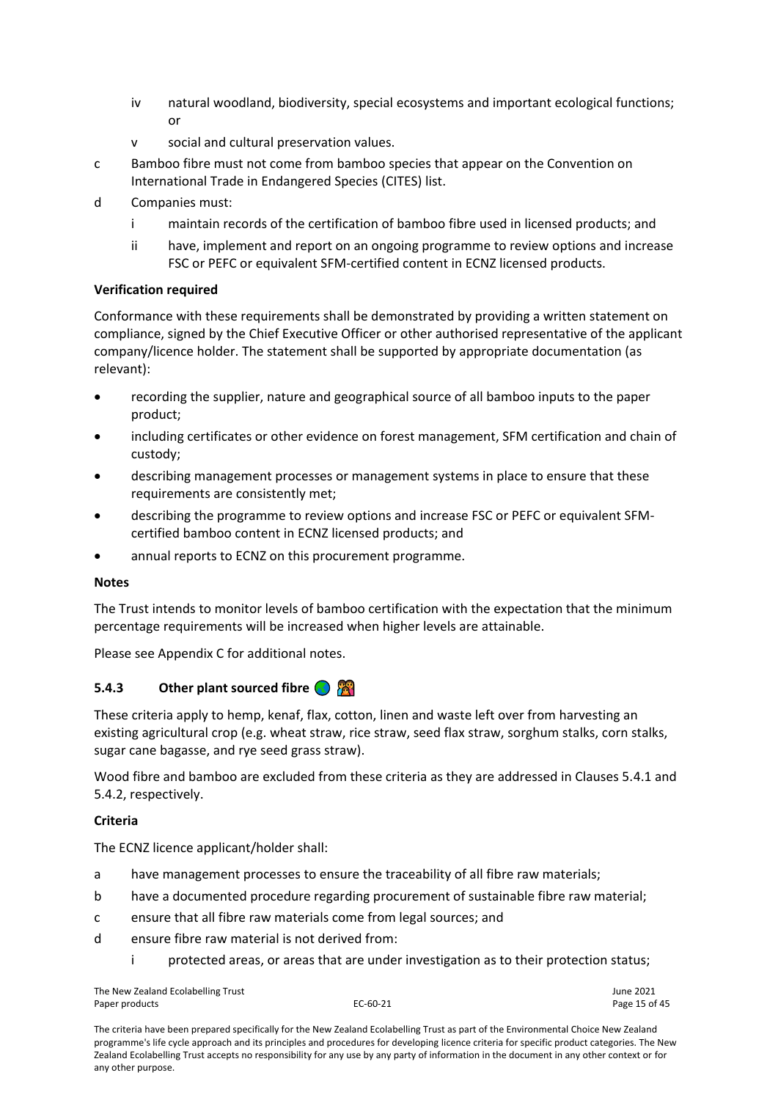- iv natural woodland, biodiversity, special ecosystems and important ecological functions; or
- v social and cultural preservation values.
- c Bamboo fibre must not come from bamboo species that appear on the Convention on International Trade in Endangered Species (CITES) list.
- d Companies must:
	- i maintain records of the certification of bamboo fibre used in licensed products; and
	- ii have, implement and report on an ongoing programme to review options and increase FSC or PEFC or equivalent SFM-certified content in ECNZ licensed products.

#### **Verification required**

Conformance with these requirements shall be demonstrated by providing a written statement on compliance, signed by the Chief Executive Officer or other authorised representative of the applicant company/licence holder. The statement shall be supported by appropriate documentation (as relevant):

- recording the supplier, nature and geographical source of all bamboo inputs to the paper product;
- including certificates or other evidence on forest management, SFM certification and chain of custody;
- describing management processes or management systems in place to ensure that these requirements are consistently met;
- describing the programme to review options and increase FSC or PEFC or equivalent SFMcertified bamboo content in ECNZ licensed products; and
- annual reports to ECNZ on this procurement programme.

#### **Notes**

The Trust intends to monitor levels of bamboo certification with the expectation that the minimum percentage requirements will be increased when higher levels are attainable.

Please see Appendix C for additional notes.

# <span id="page-14-0"></span>**5.4.3 Other plant sourced fibre**

These criteria apply to hemp, kenaf, flax, cotton, linen and waste left over from harvesting an existing agricultural crop (e.g. wheat straw, rice straw, seed flax straw, sorghum stalks, corn stalks, sugar cane bagasse, and rye seed grass straw).

Wood fibre and bamboo are excluded from these criteria as they are addressed in Clauses 5.4.1 and 5.4.2, respectively.

#### **Criteria**

The ECNZ licence applicant/holder shall:

- a have management processes to ensure the traceability of all fibre raw materials;
- b have a documented procedure regarding procurement of sustainable fibre raw material;
- c ensure that all fibre raw materials come from legal sources; and
- d ensure fibre raw material is not derived from:
	- protected areas, or areas that are under investigation as to their protection status;

The New Zealand Ecolabelling Trust June 2021 Paper products and the extendion of the EC-60-21 C-60-21 Page 15 of 45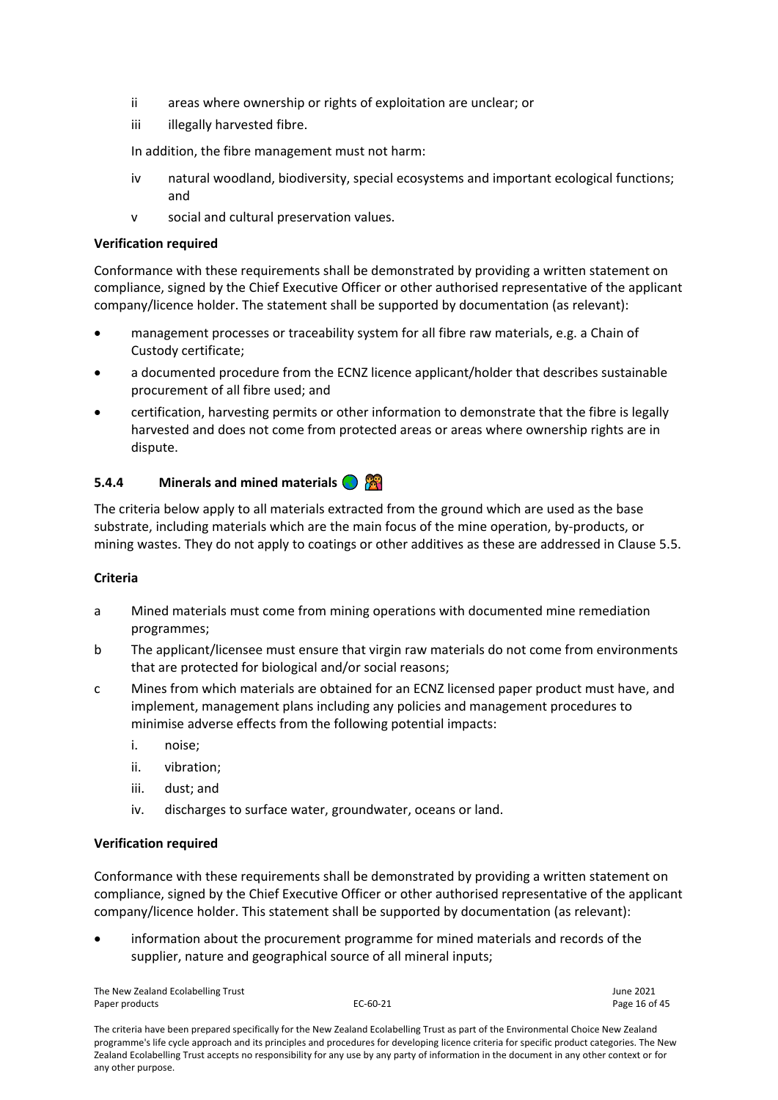- ii areas where ownership or rights of exploitation are unclear; or
- iii illegally harvested fibre.

In addition, the fibre management must not harm:

- iv natural woodland, biodiversity, special ecosystems and important ecological functions; and
- v social and cultural preservation values.

#### **Verification required**

Conformance with these requirements shall be demonstrated by providing a written statement on compliance, signed by the Chief Executive Officer or other authorised representative of the applicant company/licence holder. The statement shall be supported by documentation (as relevant):

- management processes or traceability system for all fibre raw materials, e.g. a Chain of Custody certificate;
- a documented procedure from the ECNZ licence applicant/holder that describes sustainable procurement of all fibre used; and
- certification, harvesting permits or other information to demonstrate that the fibre is legally harvested and does not come from protected areas or areas where ownership rights are in dispute.

# <span id="page-15-0"></span>**5.4.4 Minerals and mined materials**

The criteria below apply to all materials extracted from the ground which are used as the base substrate, including materials which are the main focus of the mine operation, by-products, or mining wastes. They do not apply to coatings or other additives as these are addressed in Clause 5.5.

#### **Criteria**

- a Mined materials must come from mining operations with documented mine remediation programmes;
- b The applicant/licensee must ensure that virgin raw materials do not come from environments that are protected for biological and/or social reasons;
- c Mines from which materials are obtained for an ECNZ licensed paper product must have, and implement, management plans including any policies and management procedures to minimise adverse effects from the following potential impacts:
	- i. noise;
	- ii. vibration;
	- iii. dust; and
	- iv. discharges to surface water, groundwater, oceans or land.

#### **Verification required**

Conformance with these requirements shall be demonstrated by providing a written statement on compliance, signed by the Chief Executive Officer or other authorised representative of the applicant company/licence holder. This statement shall be supported by documentation (as relevant):

• information about the procurement programme for mined materials and records of the supplier, nature and geographical source of all mineral inputs;

The New Zealand Ecolabelling Trust June 2021 Paper products **EC-60-21** Page 16 of 45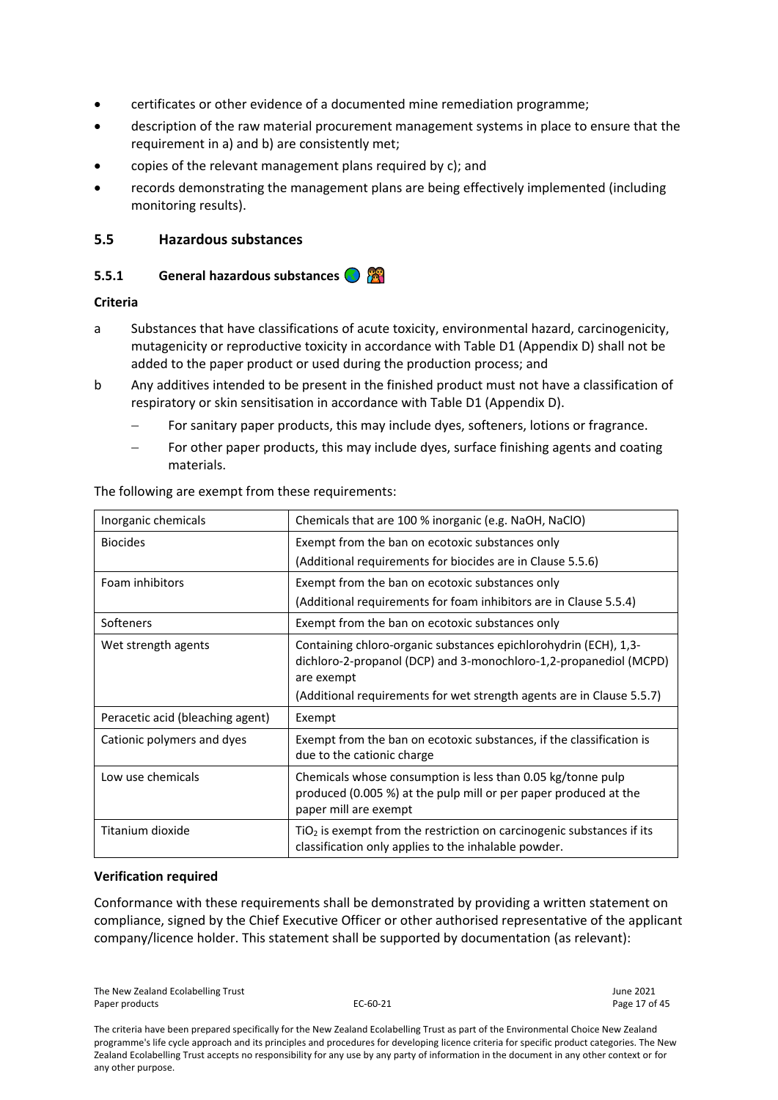- certificates or other evidence of a documented mine remediation programme;
- description of the raw material procurement management systems in place to ensure that the requirement in a) and b) are consistently met;
- copies of the relevant management plans required by c); and
- records demonstrating the management plans are being effectively implemented (including monitoring results).

# <span id="page-16-0"></span>**5.5 Hazardous substances**

# <span id="page-16-1"></span>**5.5.1 General hazardous substances**

#### **Criteria**

- a Substances that have classifications of acute toxicity, environmental hazard, carcinogenicity, mutagenicity or reproductive toxicity in accordance with Table D1 (Appendix D) shall not be added to the paper product or used during the production process; and
- b Any additives intended to be present in the finished product must not have a classification of respiratory or skin sensitisation in accordance with Table D1 (Appendix D).
	- For sanitary paper products, this may include dyes, softeners, lotions or fragrance.
	- For other paper products, this may include dyes, surface finishing agents and coating materials.

| Inorganic chemicals              | Chemicals that are 100 % inorganic (e.g. NaOH, NaClO)                                                                                                    |
|----------------------------------|----------------------------------------------------------------------------------------------------------------------------------------------------------|
| <b>Biocides</b>                  | Exempt from the ban on ecotoxic substances only                                                                                                          |
|                                  | (Additional requirements for biocides are in Clause 5.5.6)                                                                                               |
| Foam inhibitors                  | Exempt from the ban on ecotoxic substances only                                                                                                          |
|                                  | (Additional requirements for foam inhibitors are in Clause 5.5.4)                                                                                        |
| Softeners                        | Exempt from the ban on ecotoxic substances only                                                                                                          |
| Wet strength agents              | Containing chloro-organic substances epichlorohydrin (ECH), 1,3-<br>dichloro-2-propanol (DCP) and 3-monochloro-1,2-propanediol (MCPD)<br>are exempt      |
|                                  | (Additional requirements for wet strength agents are in Clause 5.5.7)                                                                                    |
| Peracetic acid (bleaching agent) | Exempt                                                                                                                                                   |
| Cationic polymers and dyes       | Exempt from the ban on ecotoxic substances, if the classification is<br>due to the cationic charge                                                       |
| Low use chemicals                | Chemicals whose consumption is less than 0.05 kg/tonne pulp<br>produced (0.005 %) at the pulp mill or per paper produced at the<br>paper mill are exempt |
| Titanium dioxide                 | $TiO2$ is exempt from the restriction on carcinogenic substances if its<br>classification only applies to the inhalable powder.                          |

The following are exempt from these requirements:

#### **Verification required**

Conformance with these requirements shall be demonstrated by providing a written statement on compliance, signed by the Chief Executive Officer or other authorised representative of the applicant company/licence holder. This statement shall be supported by documentation (as relevant):

The New Zealand Ecolabelling Trust June 2021 Paper products and the extendion of the EC-60-21 Paper products and the Page 17 of 45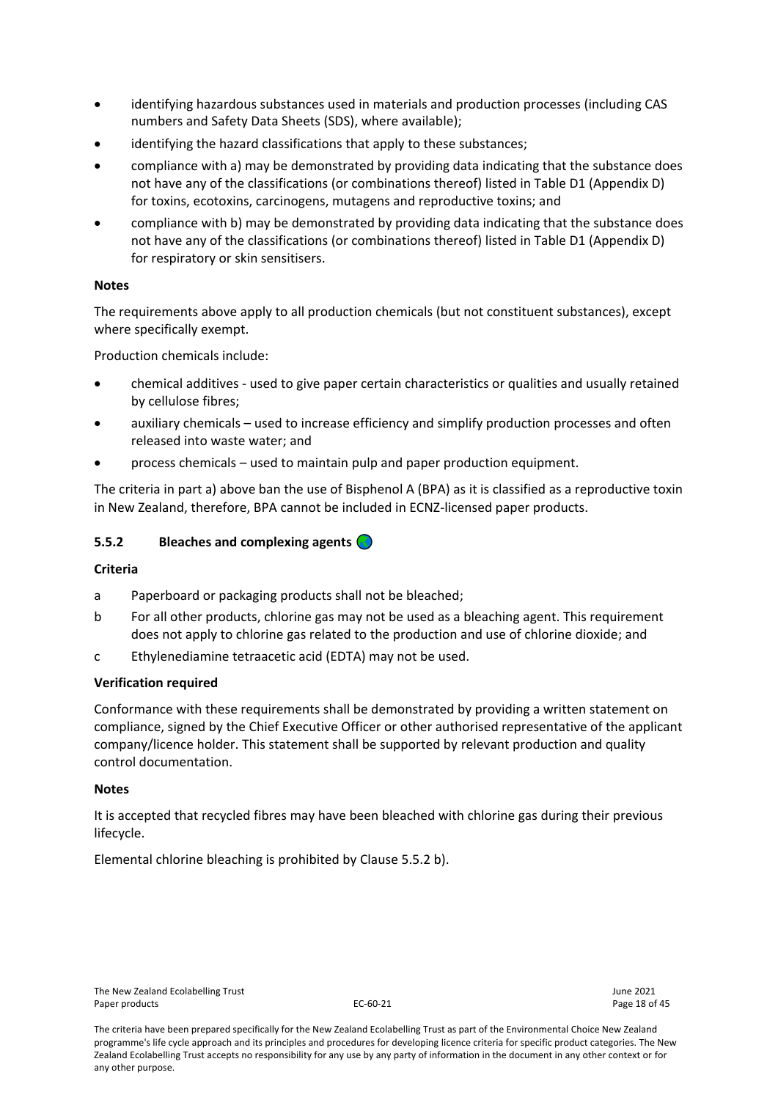- identifying hazardous substances used in materials and production processes (including CAS numbers and Safety Data Sheets (SDS), where available);
- identifying the hazard classifications that apply to these substances;
- compliance with a) may be demonstrated by providing data indicating that the substance does not have any of the classifications (or combinations thereof) listed in Table D1 (Appendix D) for toxins, ecotoxins, carcinogens, mutagens and reproductive toxins; and
- compliance with b) may be demonstrated by providing data indicating that the substance does not have any of the classifications (or combinations thereof) listed in Table D1 (Appendix D) for respiratory or skin sensitisers.

# **Notes**

The requirements above apply to all production chemicals (but not constituent substances), except where specifically exempt.

Production chemicals include:

- chemical additives used to give paper certain characteristics or qualities and usually retained by cellulose fibres;
- auxiliary chemicals used to increase efficiency and simplify production processes and often released into waste water; and
- process chemicals used to maintain pulp and paper production equipment.

The criteria in part a) above ban the use of Bisphenol A (BPA) as it is classified as a reproductive toxin in New Zealand, therefore, BPA cannot be included in ECNZ-licensed paper products.

#### <span id="page-17-0"></span>**5.5.2 Bleaches and complexing agents**

#### **Criteria**

- a Paperboard or packaging products shall not be bleached;
- b For all other products, chlorine gas may not be used as a bleaching agent. This requirement does not apply to chlorine gas related to the production and use of chlorine dioxide; and
- c Ethylenediamine tetraacetic acid (EDTA) may not be used.

#### **Verification required**

Conformance with these requirements shall be demonstrated by providing a written statement on compliance, signed by the Chief Executive Officer or other authorised representative of the applicant company/licence holder. This statement shall be supported by relevant production and quality control documentation.

#### **Notes**

It is accepted that recycled fibres may have been bleached with chlorine gas during their previous lifecycle.

Elemental chlorine bleaching is prohibited by Clause 5.5.2 b).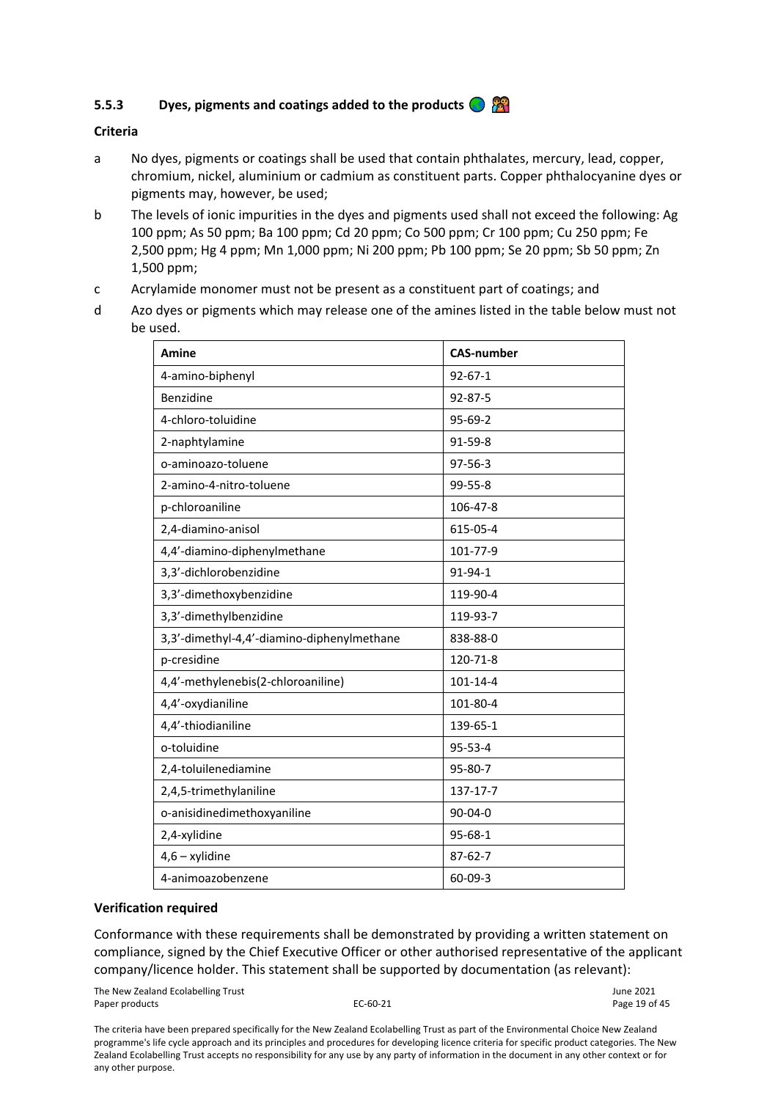# <span id="page-18-0"></span>**5.5.3 Dyes, pigments and coatings added to the products**

#### **Criteria**

- a No dyes, pigments or coatings shall be used that contain phthalates, mercury, lead, copper, chromium, nickel, aluminium or cadmium as constituent parts. Copper phthalocyanine dyes or pigments may, however, be used;
- b The levels of ionic impurities in the dyes and pigments used shall not exceed the following: Ag 100 ppm; As 50 ppm; Ba 100 ppm; Cd 20 ppm; Co 500 ppm; Cr 100 ppm; Cu 250 ppm; Fe 2,500 ppm; Hg 4 ppm; Mn 1,000 ppm; Ni 200 ppm; Pb 100 ppm; Se 20 ppm; Sb 50 ppm; Zn 1,500 ppm;
- c Acrylamide monomer must not be present as a constituent part of coatings; and
- d Azo dyes or pigments which may release one of the amines listed in the table below must not be used.

| <b>Amine</b>                               | <b>CAS-number</b> |
|--------------------------------------------|-------------------|
| 4-amino-biphenyl                           | $92 - 67 - 1$     |
| Benzidine                                  | 92-87-5           |
| 4-chloro-toluidine                         | 95-69-2           |
| 2-naphtylamine                             | 91-59-8           |
| o-aminoazo-toluene                         | $97 - 56 - 3$     |
| 2-amino-4-nitro-toluene                    | 99-55-8           |
| p-chloroaniline                            | 106-47-8          |
| 2,4-diamino-anisol                         | 615-05-4          |
| 4,4'-diamino-diphenylmethane               | 101-77-9          |
| 3,3'-dichlorobenzidine                     | 91-94-1           |
| 3,3'-dimethoxybenzidine                    | 119-90-4          |
| 3,3'-dimethylbenzidine                     | 119-93-7          |
| 3,3'-dimethyl-4,4'-diamino-diphenylmethane | 838-88-0          |
| p-cresidine                                | 120-71-8          |
| 4,4'-methylenebis(2-chloroaniline)         | 101-14-4          |
| 4,4'-oxydianiline                          | 101-80-4          |
| 4,4'-thiodianiline                         | 139-65-1          |
| o-toluidine                                | 95-53-4           |
| 2,4-toluilenediamine                       | 95-80-7           |
| 2,4,5-trimethylaniline                     | 137-17-7          |
| o-anisidinedimethoxyaniline                | 90-04-0           |
| 2,4-xylidine                               | $95 - 68 - 1$     |
| $4,6 - x$ ylidine                          | $87 - 62 - 7$     |
| 4-animoazobenzene                          | $60 - 09 - 3$     |

#### **Verification required**

Conformance with these requirements shall be demonstrated by providing a written statement on compliance, signed by the Chief Executive Officer or other authorised representative of the applicant company/licence holder. This statement shall be supported by documentation (as relevant):

The New Zealand Ecolabelling Trust June 2021 Paper products and the extendion of the EC-60-21 C-60-21 Page 19 of 45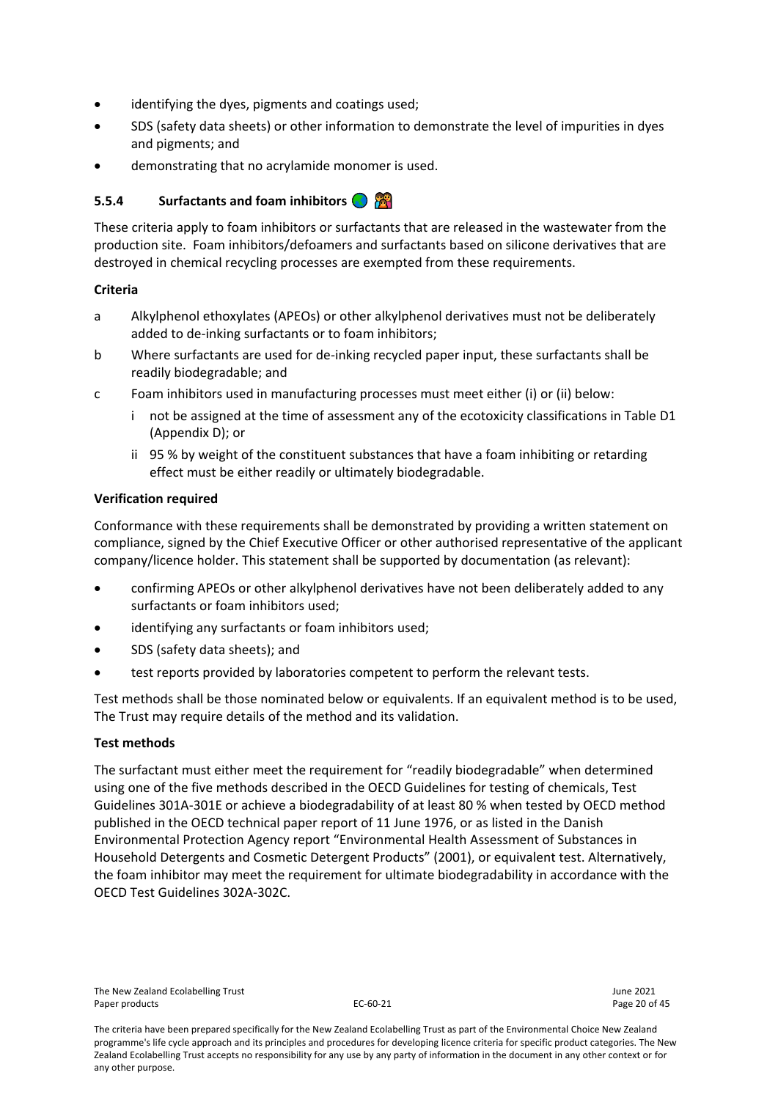- identifying the dyes, pigments and coatings used;
- SDS (safety data sheets) or other information to demonstrate the level of impurities in dyes and pigments; and
- demonstrating that no acrylamide monomer is used.

# <span id="page-19-0"></span>**5.5.4 Surfactants and foam inhibitors**

These criteria apply to foam inhibitors or surfactants that are released in the wastewater from the production site. Foam inhibitors/defoamers and surfactants based on silicone derivatives that are destroyed in chemical recycling processes are exempted from these requirements.

# **Criteria**

- a Alkylphenol ethoxylates (APEOs) or other alkylphenol derivatives must not be deliberately added to de-inking surfactants or to foam inhibitors;
- b Where surfactants are used for de-inking recycled paper input, these surfactants shall be readily biodegradable; and
- c Foam inhibitors used in manufacturing processes must meet either (i) or (ii) below:
	- i not be assigned at the time of assessment any of the ecotoxicity classifications in Table D1 (Appendix D); or
	- ii 95 % by weight of the constituent substances that have a foam inhibiting or retarding effect must be either readily or ultimately biodegradable.

# **Verification required**

Conformance with these requirements shall be demonstrated by providing a written statement on compliance, signed by the Chief Executive Officer or other authorised representative of the applicant company/licence holder. This statement shall be supported by documentation (as relevant):

- confirming APEOs or other alkylphenol derivatives have not been deliberately added to any surfactants or foam inhibitors used;
- identifying any surfactants or foam inhibitors used;
- SDS (safety data sheets); and
- test reports provided by laboratories competent to perform the relevant tests.

Test methods shall be those nominated below or equivalents. If an equivalent method is to be used, The Trust may require details of the method and its validation.

#### **Test methods**

The surfactant must either meet the requirement for "readily biodegradable" when determined using one of the five methods described in the OECD Guidelines for testing of chemicals, Test Guidelines 301A-301E or achieve a biodegradability of at least 80 % when tested by OECD method published in the OECD technical paper report of 11 June 1976, or as listed in the Danish Environmental Protection Agency report "Environmental Health Assessment of Substances in Household Detergents and Cosmetic Detergent Products" (2001), or equivalent test. Alternatively, the foam inhibitor may meet the requirement for ultimate biodegradability in accordance with the OECD Test Guidelines 302A-302C.

The criteria have been prepared specifically for the New Zealand Ecolabelling Trust as part of the Environmental Choice New Zealand programme's life cycle approach and its principles and procedures for developing licence criteria for specific product categories. The New Zealand Ecolabelling Trust accepts no responsibility for any use by any party of information in the document in any other context or for any other purpose.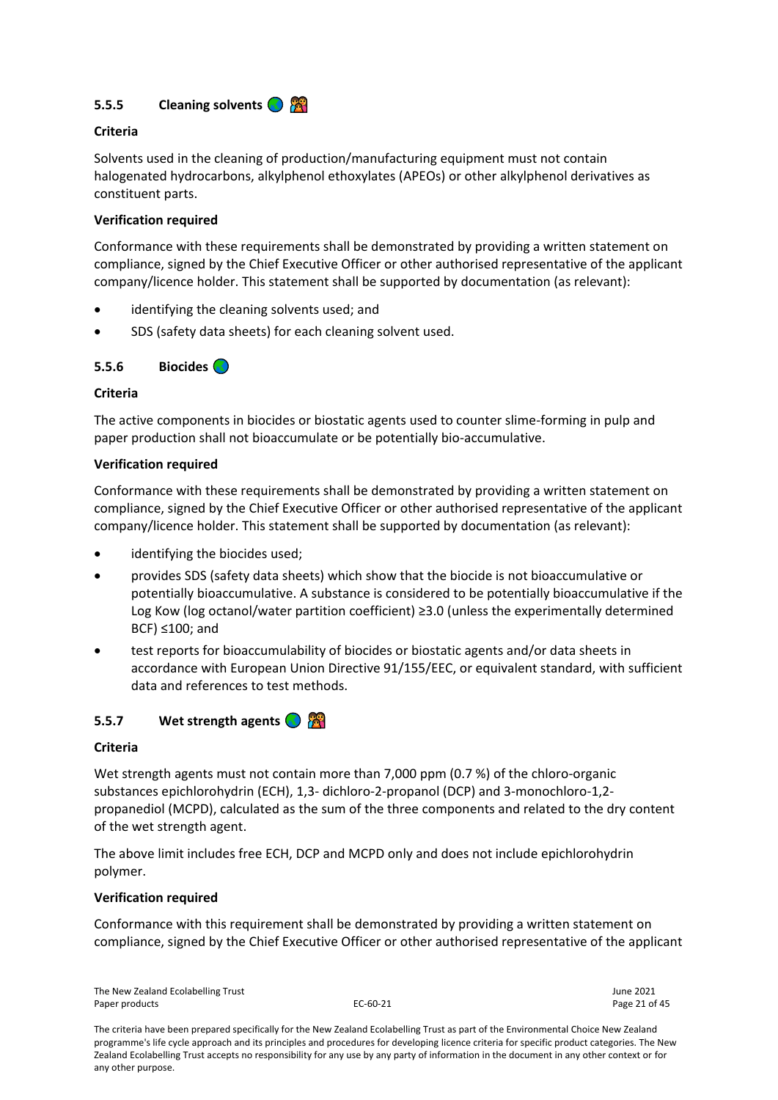<span id="page-20-0"></span>

# **Criteria**

Solvents used in the cleaning of production/manufacturing equipment must not contain halogenated hydrocarbons, alkylphenol ethoxylates (APEOs) or other alkylphenol derivatives as constituent parts.

#### **Verification required**

Conformance with these requirements shall be demonstrated by providing a written statement on compliance, signed by the Chief Executive Officer or other authorised representative of the applicant company/licence holder. This statement shall be supported by documentation (as relevant):

- identifying the cleaning solvents used; and
- SDS (safety data sheets) for each cleaning solvent used.

# <span id="page-20-1"></span>**5.5.6 Biocides**

# **Criteria**

The active components in biocides or biostatic agents used to counter slime-forming in pulp and paper production shall not bioaccumulate or be potentially bio-accumulative.

#### **Verification required**

Conformance with these requirements shall be demonstrated by providing a written statement on compliance, signed by the Chief Executive Officer or other authorised representative of the applicant company/licence holder. This statement shall be supported by documentation (as relevant):

- identifying the biocides used;
- provides SDS (safety data sheets) which show that the biocide is not bioaccumulative or potentially bioaccumulative. A substance is considered to be potentially bioaccumulative if the Log Kow (log octanol/water partition coefficient) ≥3.0 (unless the experimentally determined BCF) ≤100; and
- test reports for bioaccumulability of biocides or biostatic agents and/or data sheets in accordance with European Union Directive 91/155/EEC, or equivalent standard, with sufficient data and references to test methods.

# <span id="page-20-2"></span>**5.5.7 Wet strength agents**

#### **Criteria**

Wet strength agents must not contain more than 7,000 ppm (0.7 %) of the chloro-organic substances epichlorohydrin (ECH), 1,3- dichloro-2-propanol (DCP) and 3-monochloro-1,2 propanediol (MCPD), calculated as the sum of the three components and related to the dry content of the wet strength agent.

The above limit includes free ECH, DCP and MCPD only and does not include epichlorohydrin polymer.

#### **Verification required**

Conformance with this requirement shall be demonstrated by providing a written statement on compliance, signed by the Chief Executive Officer or other authorised representative of the applicant

The New Zealand Ecolabelling Trust June 2021 Paper products **EC-60-21** Page 21 of 45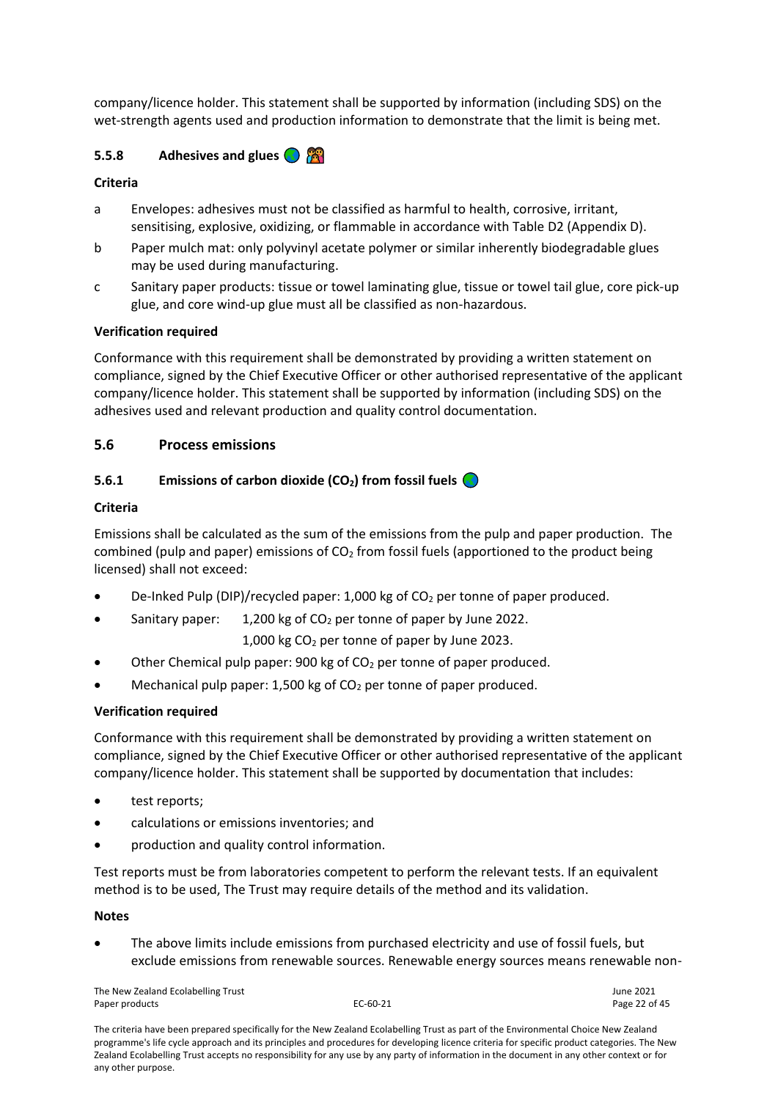company/licence holder. This statement shall be supported by information (including SDS) on the wet-strength agents used and production information to demonstrate that the limit is being met.

# <span id="page-21-0"></span>**5.5.8 Adhesives and glues**

# **Criteria**

- a Envelopes: adhesives must not be classified as harmful to health, corrosive, irritant, sensitising, explosive, oxidizing, or flammable in accordance with Table D2 (Appendix D).
- b Paper mulch mat: only polyvinyl acetate polymer or similar inherently biodegradable glues may be used during manufacturing.
- c Sanitary paper products: tissue or towel laminating glue, tissue or towel tail glue, core pick-up glue, and core wind-up glue must all be classified as non-hazardous.

# **Verification required**

Conformance with this requirement shall be demonstrated by providing a written statement on compliance, signed by the Chief Executive Officer or other authorised representative of the applicant company/licence holder. This statement shall be supported by information (including SDS) on the adhesives used and relevant production and quality control documentation.

# <span id="page-21-1"></span>**5.6 Process emissions**

# <span id="page-21-2"></span>**5.6.1 Emissions of carbon dioxide (CO2) from fossil fuels**

#### **Criteria**

Emissions shall be calculated as the sum of the emissions from the pulp and paper production. The combined (pulp and paper) emissions of  $CO<sub>2</sub>$  from fossil fuels (apportioned to the product being licensed) shall not exceed:

- De-Inked Pulp (DIP)/recycled paper: 1,000 kg of  $CO<sub>2</sub>$  per tonne of paper produced.
- Sanitary paper: 1,200 kg of  $CO<sub>2</sub>$  per tonne of paper by June 2022.

1,000 kg  $CO<sub>2</sub>$  per tonne of paper by June 2023.

- Other Chemical pulp paper: 900 kg of  $CO<sub>2</sub>$  per tonne of paper produced.
- Mechanical pulp paper: 1,500 kg of  $CO<sub>2</sub>$  per tonne of paper produced.

#### **Verification required**

Conformance with this requirement shall be demonstrated by providing a written statement on compliance, signed by the Chief Executive Officer or other authorised representative of the applicant company/licence holder. This statement shall be supported by documentation that includes:

- test reports;
- calculations or emissions inventories; and
- production and quality control information.

Test reports must be from laboratories competent to perform the relevant tests. If an equivalent method is to be used, The Trust may require details of the method and its validation.

#### **Notes**

• The above limits include emissions from purchased electricity and use of fossil fuels, but exclude emissions from renewable sources. Renewable energy sources means renewable non-

The New Zealand Ecolabelling Trust June 2021 Paper products **EC-60-21** Page 22 of 45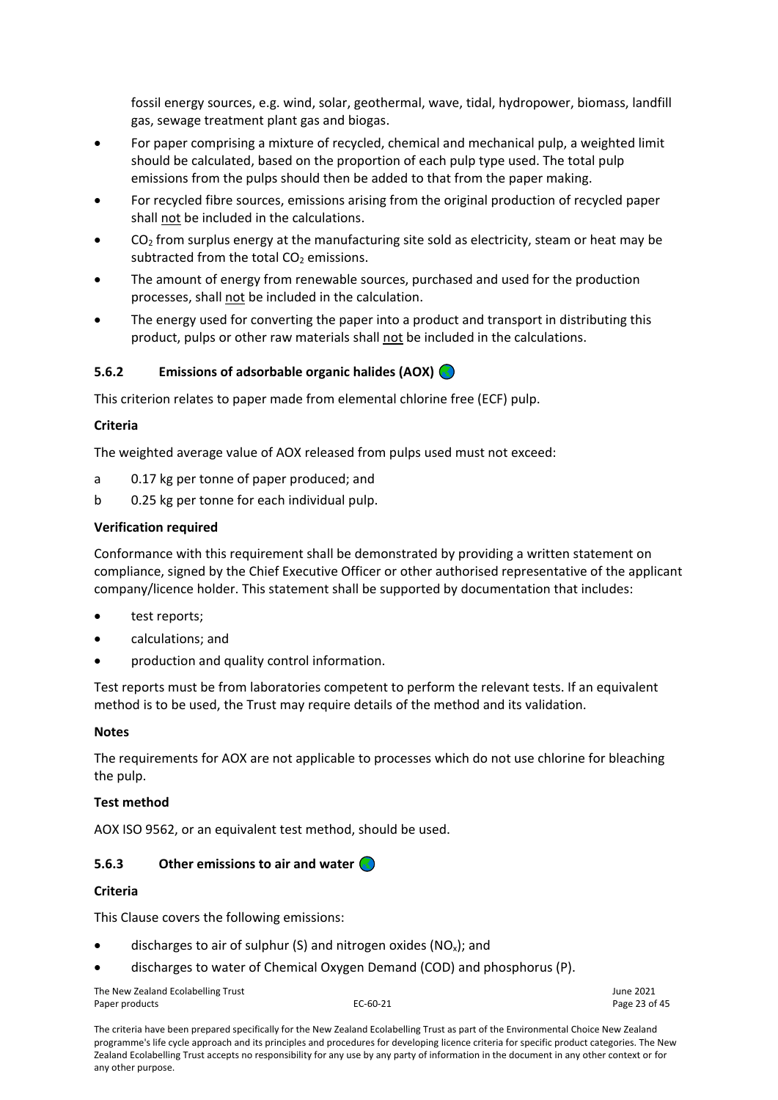fossil energy sources, e.g. wind, solar, geothermal, wave, tidal, hydropower, biomass, landfill gas, sewage treatment plant gas and biogas.

- For paper comprising a mixture of recycled, chemical and mechanical pulp, a weighted limit should be calculated, based on the proportion of each pulp type used. The total pulp emissions from the pulps should then be added to that from the paper making.
- For recycled fibre sources, emissions arising from the original production of recycled paper shall not be included in the calculations.
- $CO<sub>2</sub>$  from surplus energy at the manufacturing site sold as electricity, steam or heat may be subtracted from the total  $CO<sub>2</sub>$  emissions.
- The amount of energy from renewable sources, purchased and used for the production processes, shall not be included in the calculation.
- The energy used for converting the paper into a product and transport in distributing this product, pulps or other raw materials shall not be included in the calculations.

# <span id="page-22-0"></span>**5.6.2 Emissions of adsorbable organic halides (AOX)**

This criterion relates to paper made from elemental chlorine free (ECF) pulp.

# **Criteria**

The weighted average value of AOX released from pulps used must not exceed:

- a 0.17 kg per tonne of paper produced; and
- b 0.25 kg per tonne for each individual pulp.

# **Verification required**

Conformance with this requirement shall be demonstrated by providing a written statement on compliance, signed by the Chief Executive Officer or other authorised representative of the applicant company/licence holder. This statement shall be supported by documentation that includes:

- test reports;
- calculations; and
- production and quality control information.

Test reports must be from laboratories competent to perform the relevant tests. If an equivalent method is to be used, the Trust may require details of the method and its validation.

#### **Notes**

The requirements for AOX are not applicable to processes which do not use chlorine for bleaching the pulp.

#### **Test method**

AOX ISO 9562, or an equivalent test method, should be used.

#### <span id="page-22-1"></span>**5.6.3 Other emissions to air and water**

#### **Criteria**

This Clause covers the following emissions:

- discharges to air of sulphur (S) and nitrogen oxides (NO<sub>x</sub>); and
- discharges to water of Chemical Oxygen Demand (COD) and phosphorus (P).

The New Zealand Ecolabelling Trust June 2021 Paper products and the example of the EC-60-21 C-60-21 Page 23 of 45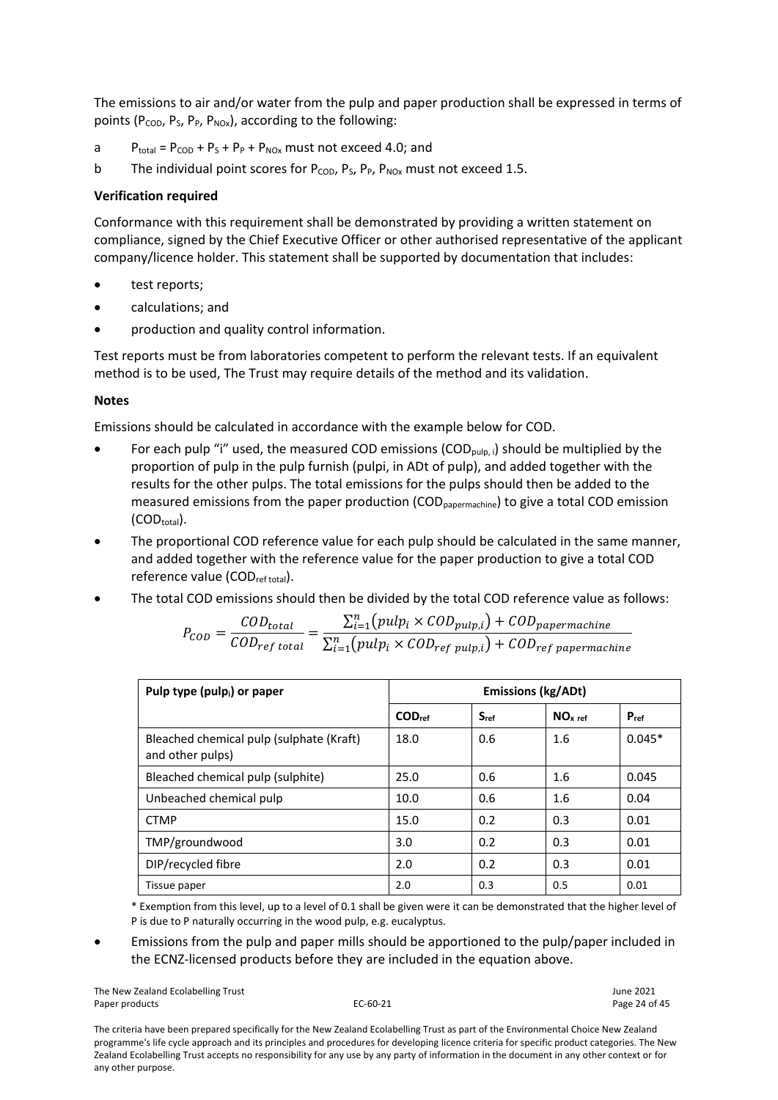The emissions to air and/or water from the pulp and paper production shall be expressed in terms of points ( $P_{\text{COD}}$ ,  $P_{\text{S}}$ ,  $P_{\text{P}}$ ,  $P_{\text{NOx}}$ ), according to the following:

- a  $P_{total} = P_{COD} + P_S + P_P + P_{NOX}$  must not exceed 4.0; and
- b The individual point scores for  $P_{\text{COD}}$ ,  $P_{\text{S}}$ ,  $P_{\text{P}}$ ,  $P_{\text{NOX}}$  must not exceed 1.5.

#### **Verification required**

Conformance with this requirement shall be demonstrated by providing a written statement on compliance, signed by the Chief Executive Officer or other authorised representative of the applicant company/licence holder. This statement shall be supported by documentation that includes:

- test reports;
- calculations; and
- production and quality control information.

Test reports must be from laboratories competent to perform the relevant tests. If an equivalent method is to be used, The Trust may require details of the method and its validation.

#### **Notes**

Emissions should be calculated in accordance with the example below for COD.

- For each pulp "i" used, the measured COD emissions (COD<sub>pulp, i</sub>) should be multiplied by the proportion of pulp in the pulp furnish (pulpi, in ADt of pulp), and added together with the results for the other pulps. The total emissions for the pulps should then be added to the measured emissions from the paper production (COD<sub>papermachine</sub>) to give a total COD emission  $(COD_{total})$ .
- The proportional COD reference value for each pulp should be calculated in the same manner, and added together with the reference value for the paper production to give a total COD reference value (COD<sub>ref total</sub>).
- The total COD emissions should then be divided by the total COD reference value as follows:

$$
P_{COD} = \frac{COD_{total}}{COD_{ref\ total}} = \frac{\sum_{i=1}^{n} (pulp_i \times COD_{pulp,i}) + COD_{papermachine}}{\sum_{i=1}^{n} (pulp_i \times COD_{ref\ pulp,i}) + COD_{ref\ papermachine}}
$$

| Pulp type (pulp <sub>i</sub> ) or paper                      | <b>Emissions (kg/ADt)</b> |           |                     |           |  |  |
|--------------------------------------------------------------|---------------------------|-----------|---------------------|-----------|--|--|
|                                                              | COD <sub>ref</sub>        | $S_{ref}$ | NO <sub>x ref</sub> | $P_{ref}$ |  |  |
| Bleached chemical pulp (sulphate (Kraft)<br>and other pulps) | 18.0                      | 0.6       | 1.6                 | $0.045*$  |  |  |
| Bleached chemical pulp (sulphite)                            | 25.0                      | 0.6       | 1.6                 | 0.045     |  |  |
| Unbeached chemical pulp                                      | 10.0                      | 0.6       | 1.6                 | 0.04      |  |  |
| <b>CTMP</b>                                                  | 15.0                      | 0.2       | 0.3                 | 0.01      |  |  |
| TMP/groundwood                                               | 3.0                       | 0.2       | 0.3                 | 0.01      |  |  |
| DIP/recycled fibre                                           | 2.0                       | 0.2       | 0.3                 | 0.01      |  |  |
| Tissue paper                                                 | 2.0                       | 0.3       | 0.5                 | 0.01      |  |  |

\* Exemption from this level, up to a level of 0.1 shall be given were it can be demonstrated that the higher level of P is due to P naturally occurring in the wood pulp, e.g. eucalyptus.

• Emissions from the pulp and paper mills should be apportioned to the pulp/paper included in the ECNZ-licensed products before they are included in the equation above.

The New Zealand Ecolabelling Trust June 2021 Paper products **EC-60-21** Page 24 of 45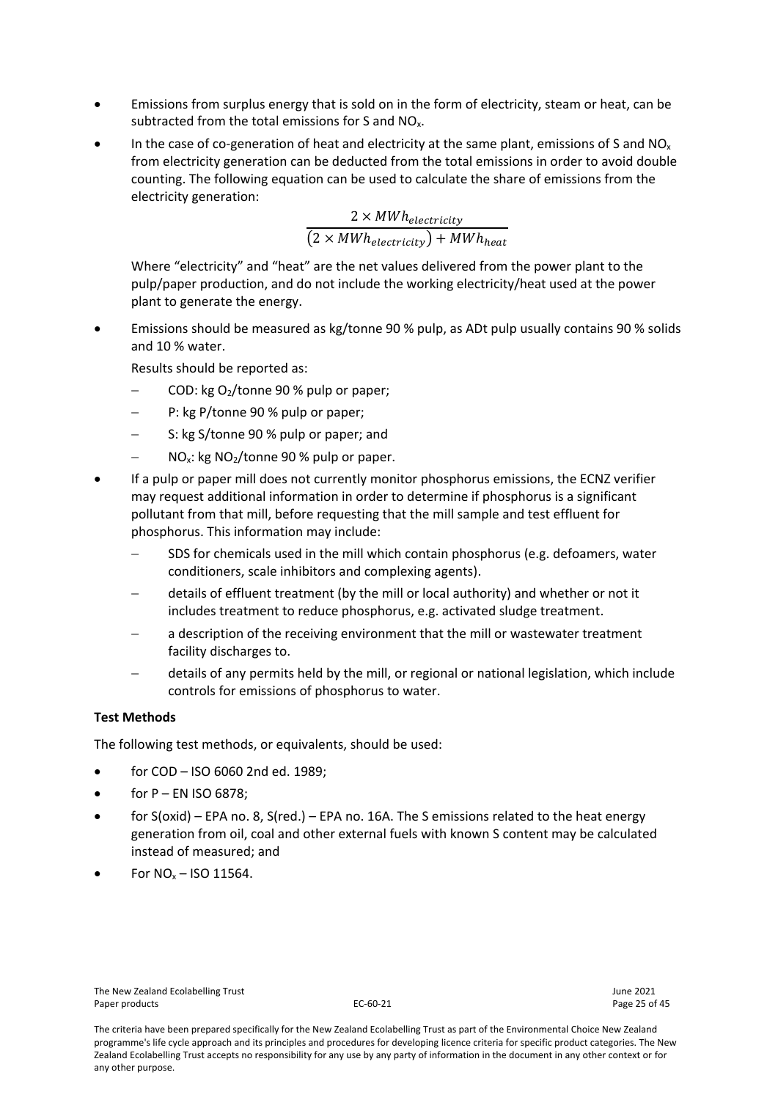- Emissions from surplus energy that is sold on in the form of electricity, steam or heat, can be subtracted from the total emissions for S and NO<sub>x</sub>.
- In the case of co-generation of heat and electricity at the same plant, emissions of S and NO<sub>x</sub> from electricity generation can be deducted from the total emissions in order to avoid double counting. The following equation can be used to calculate the share of emissions from the electricity generation:

$$
\frac{2 \times \text{MWh}_{electricity}}{(2 \times \text{MWh}_{electricity}) + \text{MWh}_{heat}}
$$

Where "electricity" and "heat" are the net values delivered from the power plant to the pulp/paper production, and do not include the working electricity/heat used at the power plant to generate the energy.

• Emissions should be measured as kg/tonne 90 % pulp, as ADt pulp usually contains 90 % solids and 10 % water.

Results should be reported as:

- − COD: kg O2/tonne 90 % pulp or paper;
- P: kg P/tonne 90 % pulp or paper;
- S: kg S/tonne 90 % pulp or paper; and
- NO<sub>x</sub>: kg NO<sub>2</sub>/tonne 90 % pulp or paper.
- If a pulp or paper mill does not currently monitor phosphorus emissions, the ECNZ verifier may request additional information in order to determine if phosphorus is a significant pollutant from that mill, before requesting that the mill sample and test effluent for phosphorus. This information may include:
	- SDS for chemicals used in the mill which contain phosphorus (e.g. defoamers, water conditioners, scale inhibitors and complexing agents).
	- − details of effluent treatment (by the mill or local authority) and whether or not it includes treatment to reduce phosphorus, e.g. activated sludge treatment.
	- a description of the receiving environment that the mill or wastewater treatment facility discharges to.
	- − details of any permits held by the mill, or regional or national legislation, which include controls for emissions of phosphorus to water.

#### **Test Methods**

The following test methods, or equivalents, should be used:

- for COD ISO 6060 2nd ed. 1989;
- for  $P$  EN ISO 6878;
- for S(oxid) EPA no. 8, S(red.) EPA no. 16A. The S emissions related to the heat energy generation from oil, coal and other external fuels with known S content may be calculated instead of measured; and
- For  $NO<sub>x</sub> ISO 11564$ .

The criteria have been prepared specifically for the New Zealand Ecolabelling Trust as part of the Environmental Choice New Zealand programme's life cycle approach and its principles and procedures for developing licence criteria for specific product categories. The New Zealand Ecolabelling Trust accepts no responsibility for any use by any party of information in the document in any other context or for any other purpose.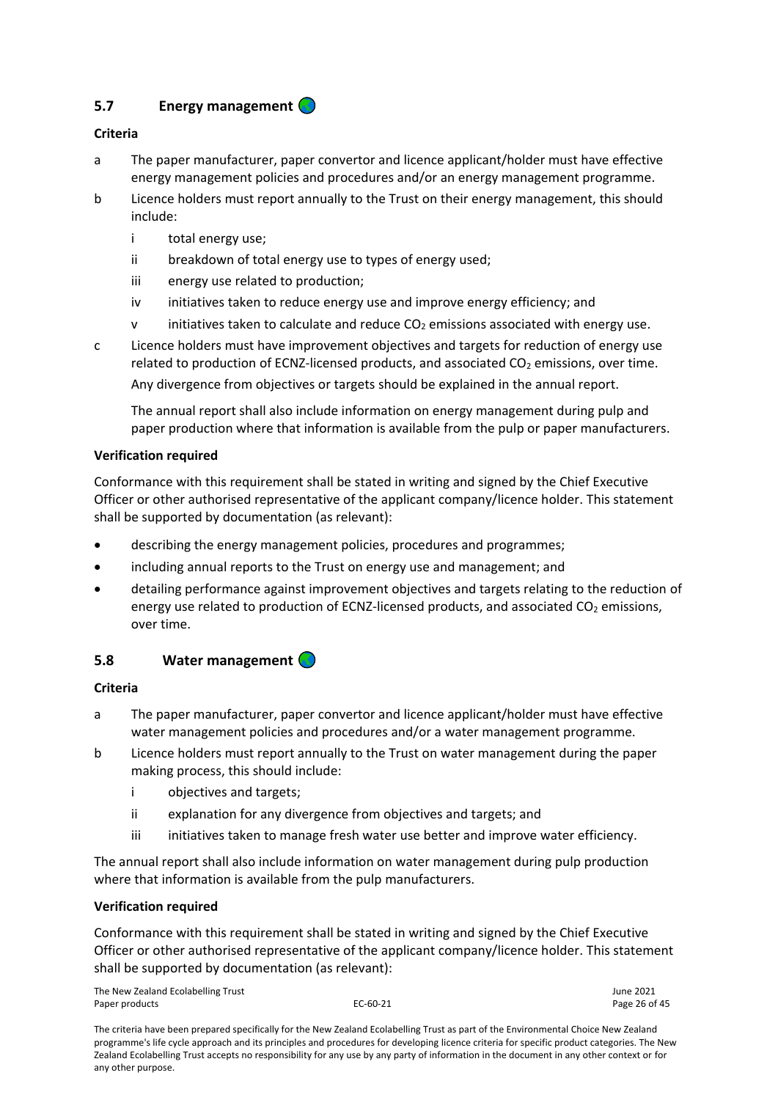# <span id="page-25-0"></span>**5.7 Energy management**

# **Criteria**

- a The paper manufacturer, paper convertor and licence applicant/holder must have effective energy management policies and procedures and/or an energy management programme.
- b Licence holders must report annually to the Trust on their energy management, this should include:
	- i total energy use;
	- ii breakdown of total energy use to types of energy used;
	- iii energy use related to production;
	- iv initiatives taken to reduce energy use and improve energy efficiency; and
	- $v$  initiatives taken to calculate and reduce  $CO<sub>2</sub>$  emissions associated with energy use.
- c Licence holders must have improvement objectives and targets for reduction of energy use related to production of ECNZ-licensed products, and associated  $CO<sub>2</sub>$  emissions, over time. Any divergence from objectives or targets should be explained in the annual report.

The annual report shall also include information on energy management during pulp and paper production where that information is available from the pulp or paper manufacturers.

#### **Verification required**

Conformance with this requirement shall be stated in writing and signed by the Chief Executive Officer or other authorised representative of the applicant company/licence holder. This statement shall be supported by documentation (as relevant):

- describing the energy management policies, procedures and programmes;
- including annual reports to the Trust on energy use and management; and
- detailing performance against improvement objectives and targets relating to the reduction of energy use related to production of ECNZ-licensed products, and associated  $CO<sub>2</sub>$  emissions, over time.

#### <span id="page-25-1"></span>**5.8 Water management**

#### **Criteria**

- a The paper manufacturer, paper convertor and licence applicant/holder must have effective water management policies and procedures and/or a water management programme.
- b Licence holders must report annually to the Trust on water management during the paper making process, this should include:
	- i objectives and targets;
	- ii explanation for any divergence from objectives and targets; and
	- iii initiatives taken to manage fresh water use better and improve water efficiency.

The annual report shall also include information on water management during pulp production where that information is available from the pulp manufacturers.

#### **Verification required**

Conformance with this requirement shall be stated in writing and signed by the Chief Executive Officer or other authorised representative of the applicant company/licence holder. This statement shall be supported by documentation (as relevant):

The New Zealand Ecolabelling Trust June 2021 Paper products and the extended of the EC-60-21 Paper products and the Page 26 of 45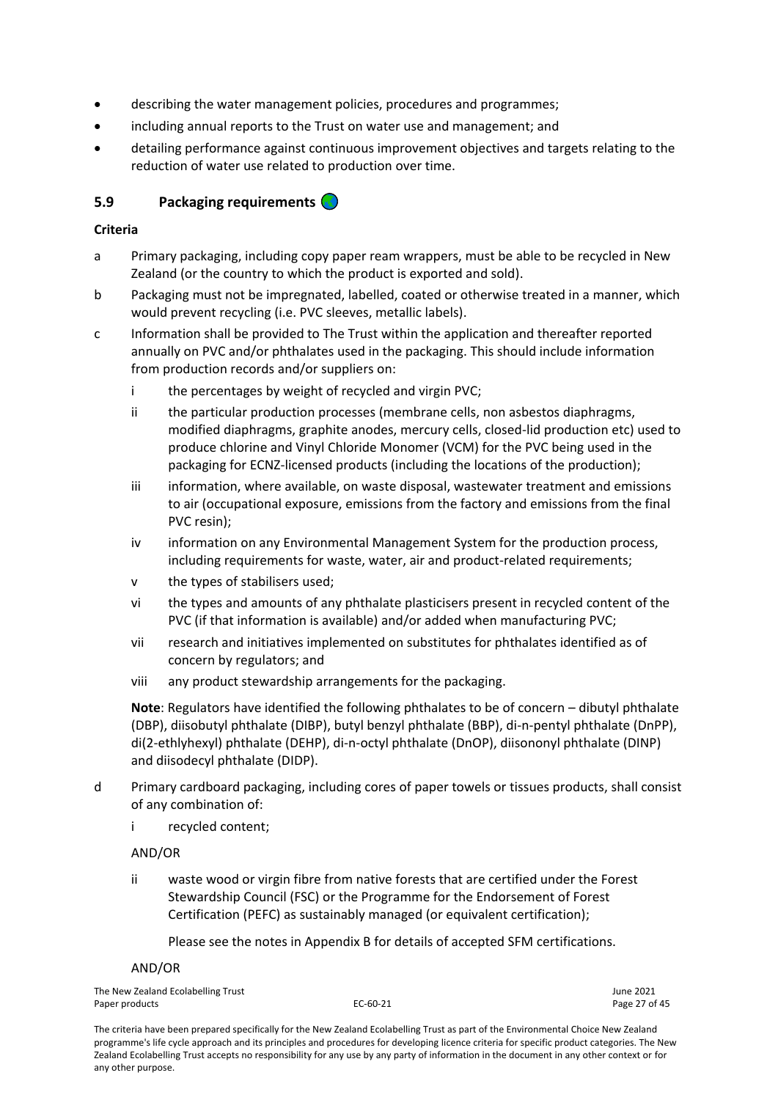- describing the water management policies, procedures and programmes;
- including annual reports to the Trust on water use and management; and
- detailing performance against continuous improvement objectives and targets relating to the reduction of water use related to production over time.

# <span id="page-26-0"></span>**5.9 Packaging requirements**

#### **Criteria**

- a Primary packaging, including copy paper ream wrappers, must be able to be recycled in New Zealand (or the country to which the product is exported and sold).
- b Packaging must not be impregnated, labelled, coated or otherwise treated in a manner, which would prevent recycling (i.e. PVC sleeves, metallic labels).
- c Information shall be provided to The Trust within the application and thereafter reported annually on PVC and/or phthalates used in the packaging. This should include information from production records and/or suppliers on:
	- i the percentages by weight of recycled and virgin PVC;
	- ii the particular production processes (membrane cells, non asbestos diaphragms, modified diaphragms, graphite anodes, mercury cells, closed-lid production etc) used to produce chlorine and Vinyl Chloride Monomer (VCM) for the PVC being used in the packaging for ECNZ-licensed products (including the locations of the production);
	- iii information, where available, on waste disposal, wastewater treatment and emissions to air (occupational exposure, emissions from the factory and emissions from the final PVC resin);
	- iv information on any Environmental Management System for the production process, including requirements for waste, water, air and product-related requirements;
	- v the types of stabilisers used;
	- vi the types and amounts of any phthalate plasticisers present in recycled content of the PVC (if that information is available) and/or added when manufacturing PVC;
	- vii research and initiatives implemented on substitutes for phthalates identified as of concern by regulators; and
	- viii any product stewardship arrangements for the packaging.

**Note**: Regulators have identified the following phthalates to be of concern – dibutyl phthalate (DBP), diisobutyl phthalate (DIBP), butyl benzyl phthalate (BBP), di-n-pentyl phthalate (DnPP), di(2-ethlyhexyl) phthalate (DEHP), di-n-octyl phthalate (DnOP), diisononyl phthalate (DINP) and diisodecyl phthalate (DIDP).

- d Primary cardboard packaging, including cores of paper towels or tissues products, shall consist of any combination of:
	- i recycled content;

#### AND/OR

ii waste wood or virgin fibre from native forests that are certified under the Forest Stewardship Council (FSC) or the Programme for the Endorsement of Forest Certification (PEFC) as sustainably managed (or equivalent certification);

Please see the notes in Appendix B for details of accepted SFM certifications.

# AND/OR

The New Zealand Ecolabelling Trust June 2021 Paper products and the extendion of the EC-60-21 C-60-21 Page 27 of 45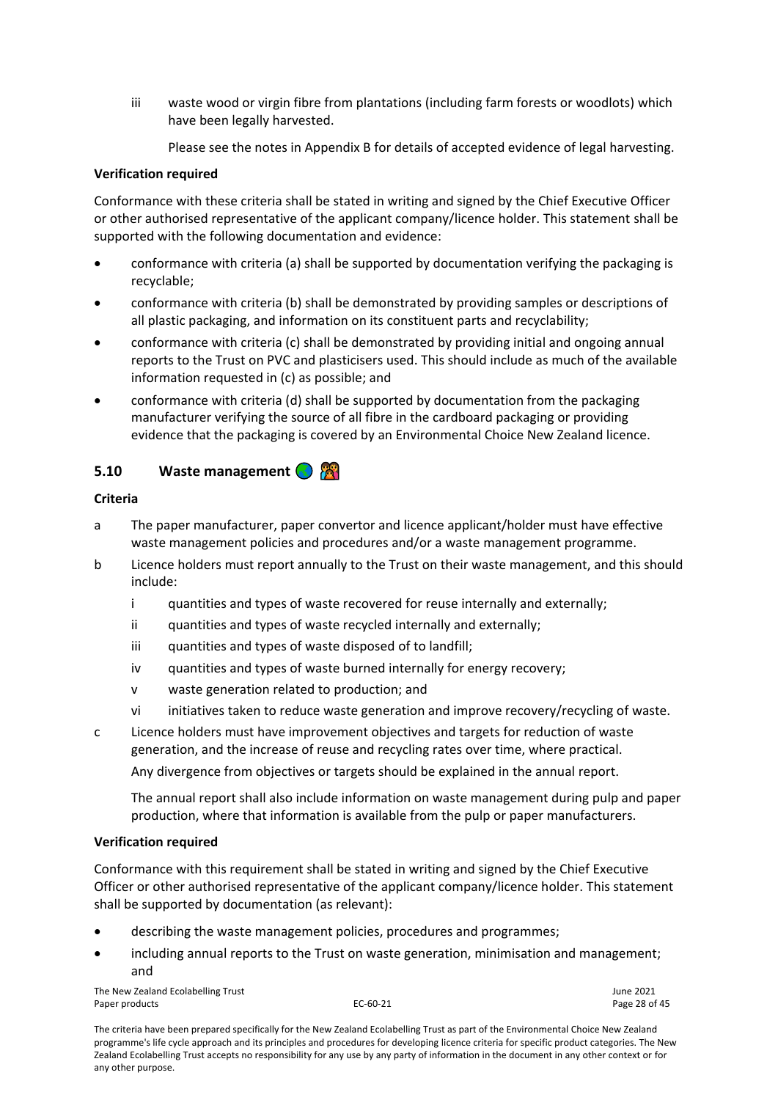iii waste wood or virgin fibre from plantations (including farm forests or woodlots) which have been legally harvested.

Please see the notes in Appendix B for details of accepted evidence of legal harvesting.

#### **Verification required**

Conformance with these criteria shall be stated in writing and signed by the Chief Executive Officer or other authorised representative of the applicant company/licence holder. This statement shall be supported with the following documentation and evidence:

- conformance with criteria (a) shall be supported by documentation verifying the packaging is recyclable;
- conformance with criteria (b) shall be demonstrated by providing samples or descriptions of all plastic packaging, and information on its constituent parts and recyclability;
- conformance with criteria (c) shall be demonstrated by providing initial and ongoing annual reports to the Trust on PVC and plasticisers used. This should include as much of the available information requested in (c) as possible; and
- conformance with criteria (d) shall be supported by documentation from the packaging manufacturer verifying the source of all fibre in the cardboard packaging or providing evidence that the packaging is covered by an Environmental Choice New Zealand licence.

# <span id="page-27-0"></span>**5.10 Waste management**

# **Criteria**

- a The paper manufacturer, paper convertor and licence applicant/holder must have effective waste management policies and procedures and/or a waste management programme.
- b Licence holders must report annually to the Trust on their waste management, and this should include:
	- i quantities and types of waste recovered for reuse internally and externally;
	- ii quantities and types of waste recycled internally and externally;
	- iii quantities and types of waste disposed of to landfill;
	- iv quantities and types of waste burned internally for energy recovery;
	- v waste generation related to production; and
	- vi initiatives taken to reduce waste generation and improve recovery/recycling of waste.
- c Licence holders must have improvement objectives and targets for reduction of waste generation, and the increase of reuse and recycling rates over time, where practical.

Any divergence from objectives or targets should be explained in the annual report.

The annual report shall also include information on waste management during pulp and paper production, where that information is available from the pulp or paper manufacturers.

#### **Verification required**

Conformance with this requirement shall be stated in writing and signed by the Chief Executive Officer or other authorised representative of the applicant company/licence holder. This statement shall be supported by documentation (as relevant):

- describing the waste management policies, procedures and programmes;
- including annual reports to the Trust on waste generation, minimisation and management; and

The New Zealand Ecolabelling Trust June 2021 Paper products **EC-60-21** Page 28 of 45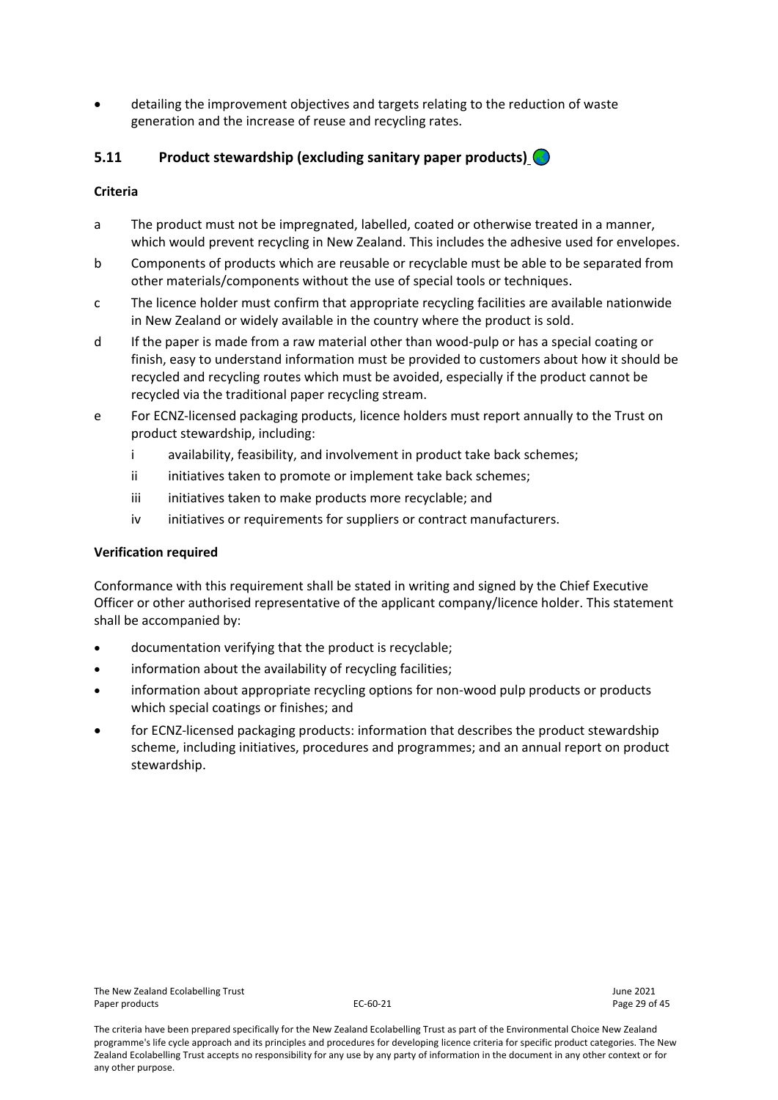• detailing the improvement objectives and targets relating to the reduction of waste generation and the increase of reuse and recycling rates.

# <span id="page-28-0"></span>**5.11 Product stewardship (excluding sanitary paper products)**

#### **Criteria**

- a The product must not be impregnated, labelled, coated or otherwise treated in a manner, which would prevent recycling in New Zealand. This includes the adhesive used for envelopes.
- b Components of products which are reusable or recyclable must be able to be separated from other materials/components without the use of special tools or techniques.
- c The licence holder must confirm that appropriate recycling facilities are available nationwide in New Zealand or widely available in the country where the product is sold.
- d If the paper is made from a raw material other than wood-pulp or has a special coating or finish, easy to understand information must be provided to customers about how it should be recycled and recycling routes which must be avoided, especially if the product cannot be recycled via the traditional paper recycling stream.
- e For ECNZ-licensed packaging products, licence holders must report annually to the Trust on product stewardship, including:
	- i availability, feasibility, and involvement in product take back schemes;
	- ii initiatives taken to promote or implement take back schemes;
	- iii initiatives taken to make products more recyclable; and
	- iv initiatives or requirements for suppliers or contract manufacturers.

#### **Verification required**

Conformance with this requirement shall be stated in writing and signed by the Chief Executive Officer or other authorised representative of the applicant company/licence holder. This statement shall be accompanied by:

- documentation verifying that the product is recyclable;
- information about the availability of recycling facilities;
- information about appropriate recycling options for non-wood pulp products or products which special coatings or finishes; and
- for ECNZ-licensed packaging products: information that describes the product stewardship scheme, including initiatives, procedures and programmes; and an annual report on product stewardship.

The criteria have been prepared specifically for the New Zealand Ecolabelling Trust as part of the Environmental Choice New Zealand programme's life cycle approach and its principles and procedures for developing licence criteria for specific product categories. The New Zealand Ecolabelling Trust accepts no responsibility for any use by any party of information in the document in any other context or for any other purpose.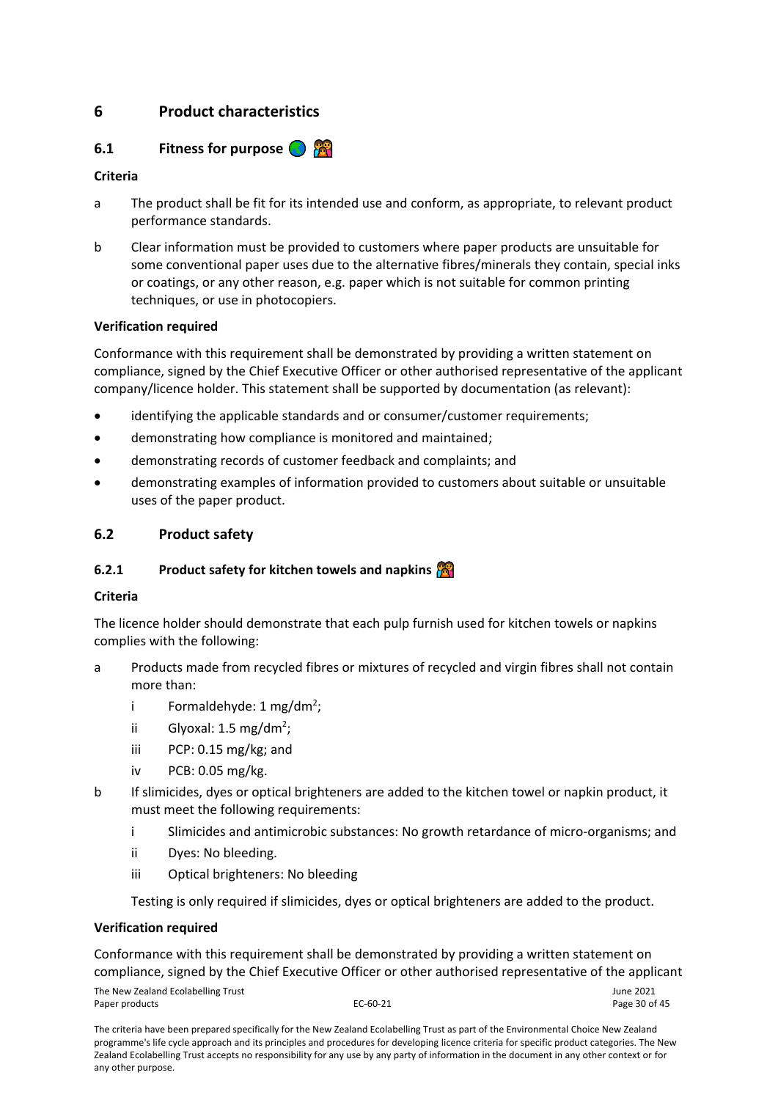# <span id="page-29-0"></span>**6 Product characteristics**

# <span id="page-29-1"></span>**6.1 Fitness for purpose <b>Fig.**

# **Criteria**

- a The product shall be fit for its intended use and conform, as appropriate, to relevant product performance standards.
- b Clear information must be provided to customers where paper products are unsuitable for some conventional paper uses due to the alternative fibres/minerals they contain, special inks or coatings, or any other reason, e.g. paper which is not suitable for common printing techniques, or use in photocopiers.

#### **Verification required**

Conformance with this requirement shall be demonstrated by providing a written statement on compliance, signed by the Chief Executive Officer or other authorised representative of the applicant company/licence holder. This statement shall be supported by documentation (as relevant):

- identifying the applicable standards and or consumer/customer requirements;
- demonstrating how compliance is monitored and maintained;
- demonstrating records of customer feedback and complaints; and
- demonstrating examples of information provided to customers about suitable or unsuitable uses of the paper product.

# <span id="page-29-2"></span>**6.2 Product safety**

# <span id="page-29-3"></span>**6.2.1 Product safety for kitchen towels and napkins**

#### **Criteria**

The licence holder should demonstrate that each pulp furnish used for kitchen towels or napkins complies with the following:

- a Products made from recycled fibres or mixtures of recycled and virgin fibres shall not contain more than:
	- i Formaldehyde: 1 mg/dm<sup>2</sup>;
	- ii Glyoxal:  $1.5 \text{ mg/dm}^2$ ;
	- iii PCP: 0.15 mg/kg; and
	- iv PCB: 0.05 mg/kg.
- b If slimicides, dyes or optical brighteners are added to the kitchen towel or napkin product, it must meet the following requirements:
	- i Slimicides and antimicrobic substances: No growth retardance of micro-organisms; and
	- ii Dyes: No bleeding.
	- iii Optical brighteners: No bleeding

Testing is only required if slimicides, dyes or optical brighteners are added to the product.

#### **Verification required**

Conformance with this requirement shall be demonstrated by providing a written statement on compliance, signed by the Chief Executive Officer or other authorised representative of the applicant

The New Zealand Ecolabelling Trust and the Community Control of the Search of Assessment Assessment Control of the Community Control of the Page 30 of 45 Paper products EC-60-21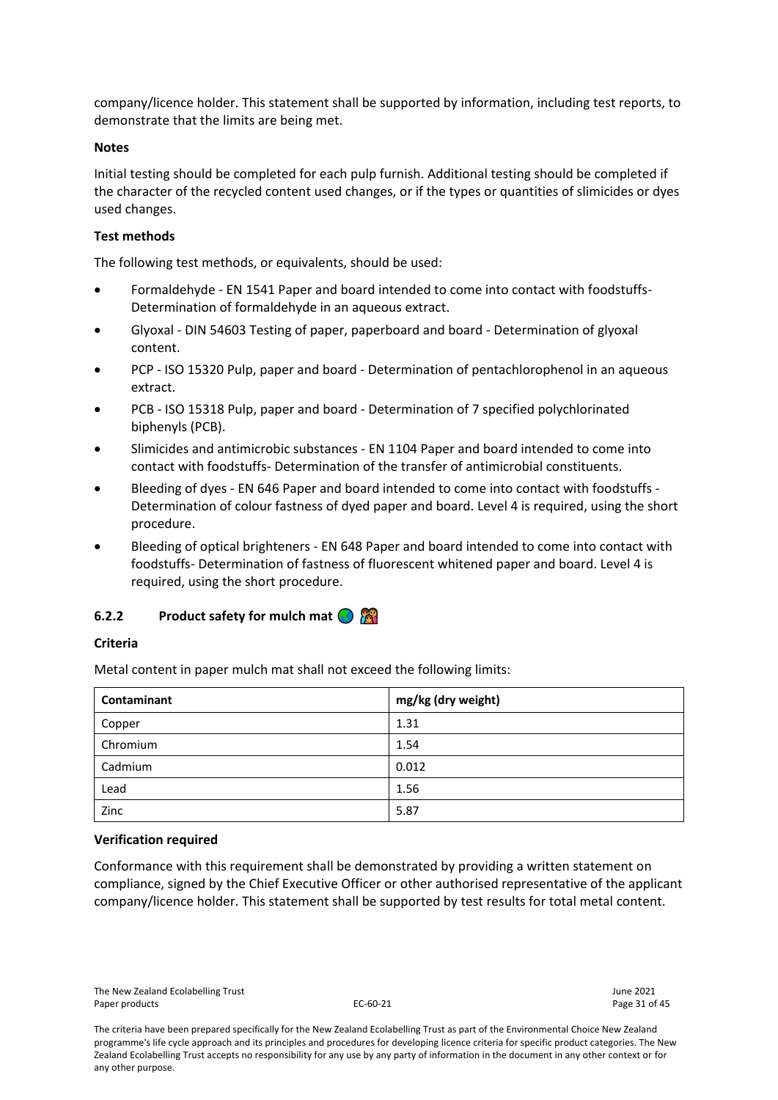company/licence holder. This statement shall be supported by information, including test reports, to demonstrate that the limits are being met.

#### **Notes**

Initial testing should be completed for each pulp furnish. Additional testing should be completed if the character of the recycled content used changes, or if the types or quantities of slimicides or dyes used changes.

#### **Test methods**

The following test methods, or equivalents, should be used:

- Formaldehyde EN 1541 Paper and board intended to come into contact with foodstuffs-Determination of formaldehyde in an aqueous extract.
- Glyoxal DIN 54603 Testing of paper, paperboard and board Determination of glyoxal content.
- PCP ISO 15320 Pulp, paper and board Determination of pentachlorophenol in an aqueous extract.
- PCB ISO 15318 Pulp, paper and board Determination of 7 specified polychlorinated biphenyls (PCB).
- Slimicides and antimicrobic substances EN 1104 Paper and board intended to come into contact with foodstuffs- Determination of the transfer of antimicrobial constituents.
- Bleeding of dyes EN 646 Paper and board intended to come into contact with foodstuffs Determination of colour fastness of dyed paper and board. Level 4 is required, using the short procedure.
- Bleeding of optical brighteners EN 648 Paper and board intended to come into contact with foodstuffs- Determination of fastness of fluorescent whitened paper and board. Level 4 is required, using the short procedure.

# <span id="page-30-0"></span>**6.2.2 Product safety for mulch mat**

#### **Criteria**

Metal content in paper mulch mat shall not exceed the following limits:

| Contaminant | mg/kg (dry weight) |
|-------------|--------------------|
| Copper      | 1.31               |
| Chromium    | 1.54               |
| Cadmium     | 0.012              |
| Lead        | 1.56               |
| Zinc        | 5.87               |

#### **Verification required**

Conformance with this requirement shall be demonstrated by providing a written statement on compliance, signed by the Chief Executive Officer or other authorised representative of the applicant company/licence holder. This statement shall be supported by test results for total metal content.

The criteria have been prepared specifically for the New Zealand Ecolabelling Trust as part of the Environmental Choice New Zealand programme's life cycle approach and its principles and procedures for developing licence criteria for specific product categories. The New Zealand Ecolabelling Trust accepts no responsibility for any use by any party of information in the document in any other context or for any other purpose.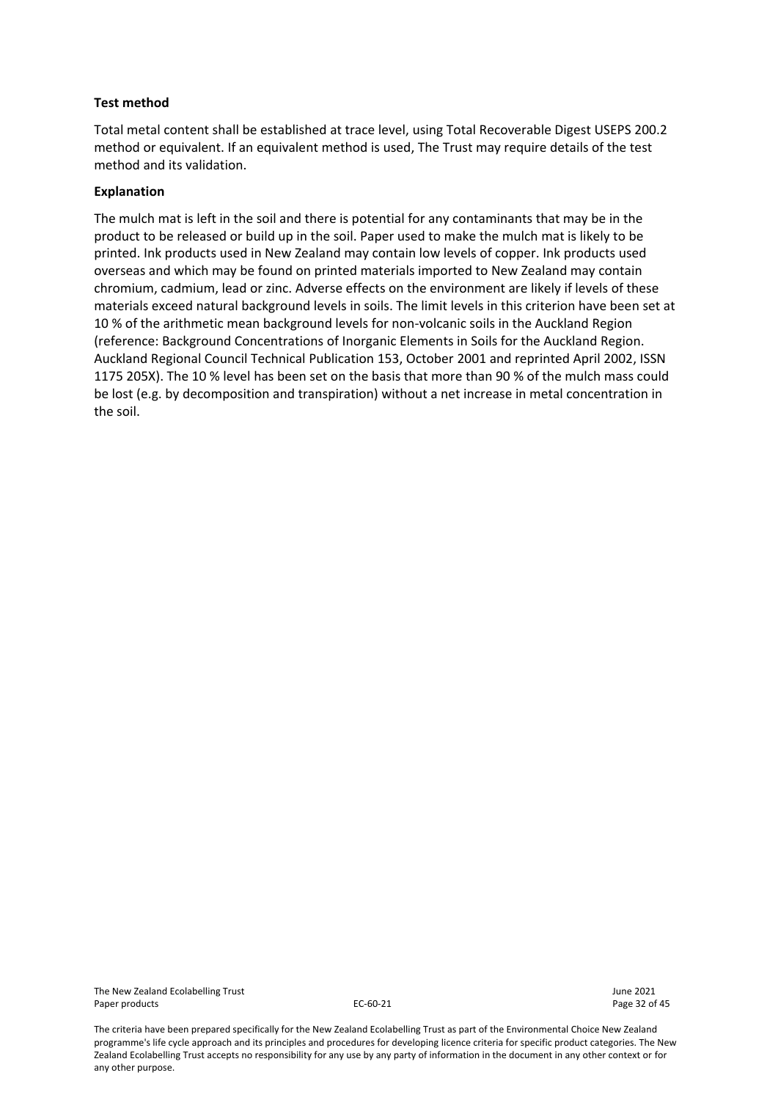#### **Test method**

Total metal content shall be established at trace level, using Total Recoverable Digest USEPS 200.2 method or equivalent. If an equivalent method is used, The Trust may require details of the test method and its validation.

#### **Explanation**

The mulch mat is left in the soil and there is potential for any contaminants that may be in the product to be released or build up in the soil. Paper used to make the mulch mat is likely to be printed. Ink products used in New Zealand may contain low levels of copper. Ink products used overseas and which may be found on printed materials imported to New Zealand may contain chromium, cadmium, lead or zinc. Adverse effects on the environment are likely if levels of these materials exceed natural background levels in soils. The limit levels in this criterion have been set at 10 % of the arithmetic mean background levels for non-volcanic soils in the Auckland Region (reference: Background Concentrations of Inorganic Elements in Soils for the Auckland Region. Auckland Regional Council Technical Publication 153, October 2001 and reprinted April 2002, ISSN 1175 205X). The 10 % level has been set on the basis that more than 90 % of the mulch mass could be lost (e.g. by decomposition and transpiration) without a net increase in metal concentration in the soil.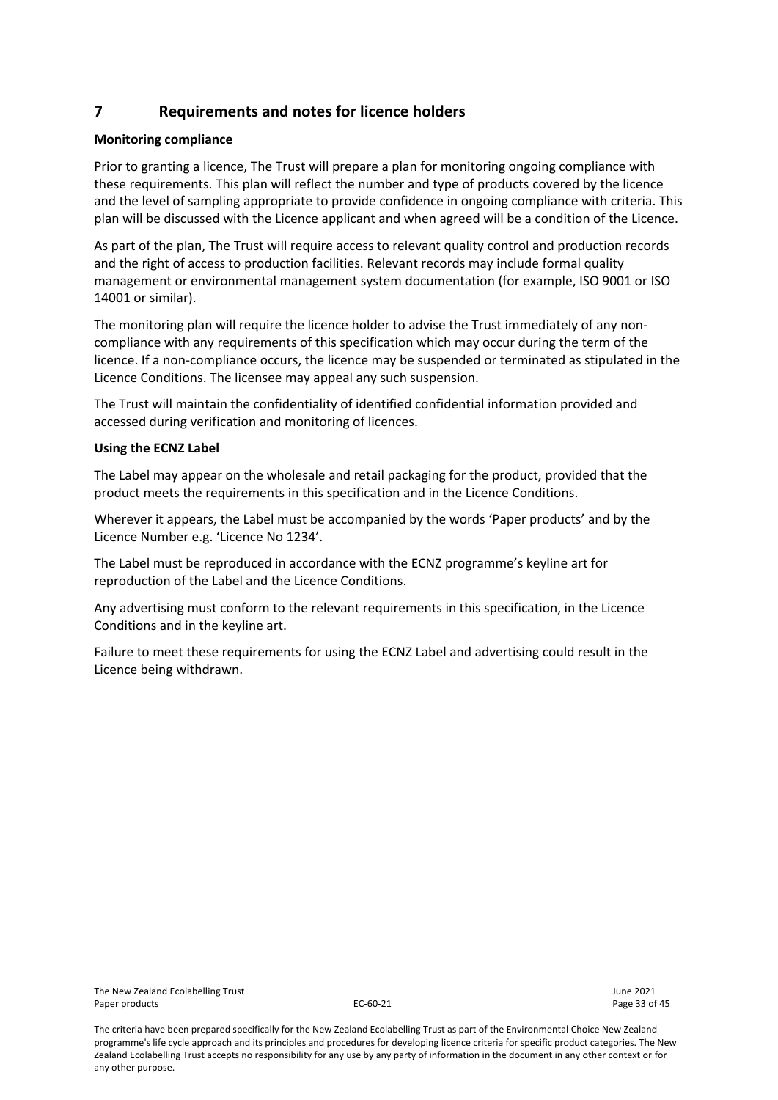# <span id="page-32-0"></span>**7 Requirements and notes for licence holders**

# **Monitoring compliance**

Prior to granting a licence, The Trust will prepare a plan for monitoring ongoing compliance with these requirements. This plan will reflect the number and type of products covered by the licence and the level of sampling appropriate to provide confidence in ongoing compliance with criteria. This plan will be discussed with the Licence applicant and when agreed will be a condition of the Licence.

As part of the plan, The Trust will require access to relevant quality control and production records and the right of access to production facilities. Relevant records may include formal quality management or environmental management system documentation (for example, ISO 9001 or ISO 14001 or similar).

The monitoring plan will require the licence holder to advise the Trust immediately of any noncompliance with any requirements of this specification which may occur during the term of the licence. If a non-compliance occurs, the licence may be suspended or terminated as stipulated in the Licence Conditions. The licensee may appeal any such suspension.

The Trust will maintain the confidentiality of identified confidential information provided and accessed during verification and monitoring of licences.

# **Using the ECNZ Label**

The Label may appear on the wholesale and retail packaging for the product, provided that the product meets the requirements in this specification and in the Licence Conditions.

Wherever it appears, the Label must be accompanied by the words 'Paper products' and by the Licence Number e.g. 'Licence No 1234'.

The Label must be reproduced in accordance with the ECNZ programme's keyline art for reproduction of the Label and the Licence Conditions.

Any advertising must conform to the relevant requirements in this specification, in the Licence Conditions and in the keyline art.

Failure to meet these requirements for using the ECNZ Label and advertising could result in the Licence being withdrawn.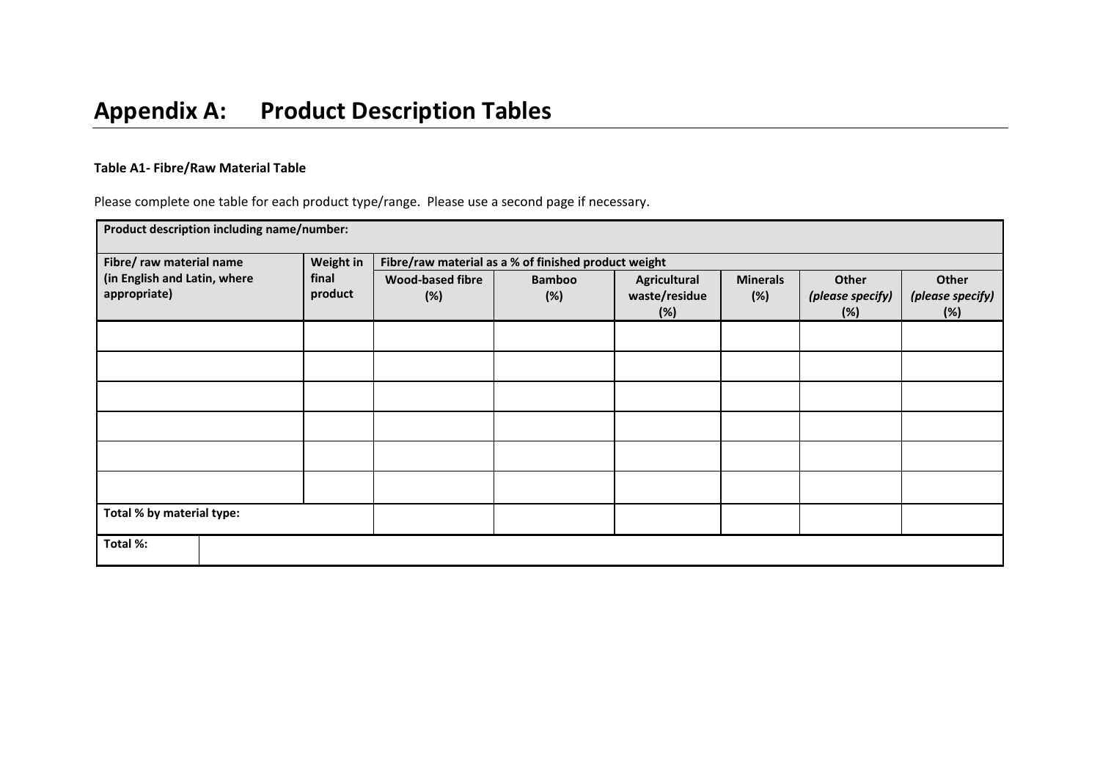# **Table A1- Fibre/Raw Material Table**

Please complete one table for each product type/range. Please use a second page if necessary.

<span id="page-33-0"></span>

| Product description including name/number:   |                                                                   |                                |                      |                                      |                        |                                  |                                  |
|----------------------------------------------|-------------------------------------------------------------------|--------------------------------|----------------------|--------------------------------------|------------------------|----------------------------------|----------------------------------|
| Fibre/ raw material name                     | Weight in<br>Fibre/raw material as a % of finished product weight |                                |                      |                                      |                        |                                  |                                  |
| (in English and Latin, where<br>appropriate) | final<br>product                                                  | <b>Wood-based fibre</b><br>(%) | <b>Bamboo</b><br>(%) | Agricultural<br>waste/residue<br>(%) | <b>Minerals</b><br>(%) | Other<br>(please specify)<br>(%) | Other<br>(please specify)<br>(%) |
|                                              |                                                                   |                                |                      |                                      |                        |                                  |                                  |
|                                              |                                                                   |                                |                      |                                      |                        |                                  |                                  |
|                                              |                                                                   |                                |                      |                                      |                        |                                  |                                  |
|                                              |                                                                   |                                |                      |                                      |                        |                                  |                                  |
|                                              |                                                                   |                                |                      |                                      |                        |                                  |                                  |
|                                              |                                                                   |                                |                      |                                      |                        |                                  |                                  |
| Total % by material type:                    |                                                                   |                                |                      |                                      |                        |                                  |                                  |
| Total %:                                     |                                                                   |                                |                      |                                      |                        |                                  |                                  |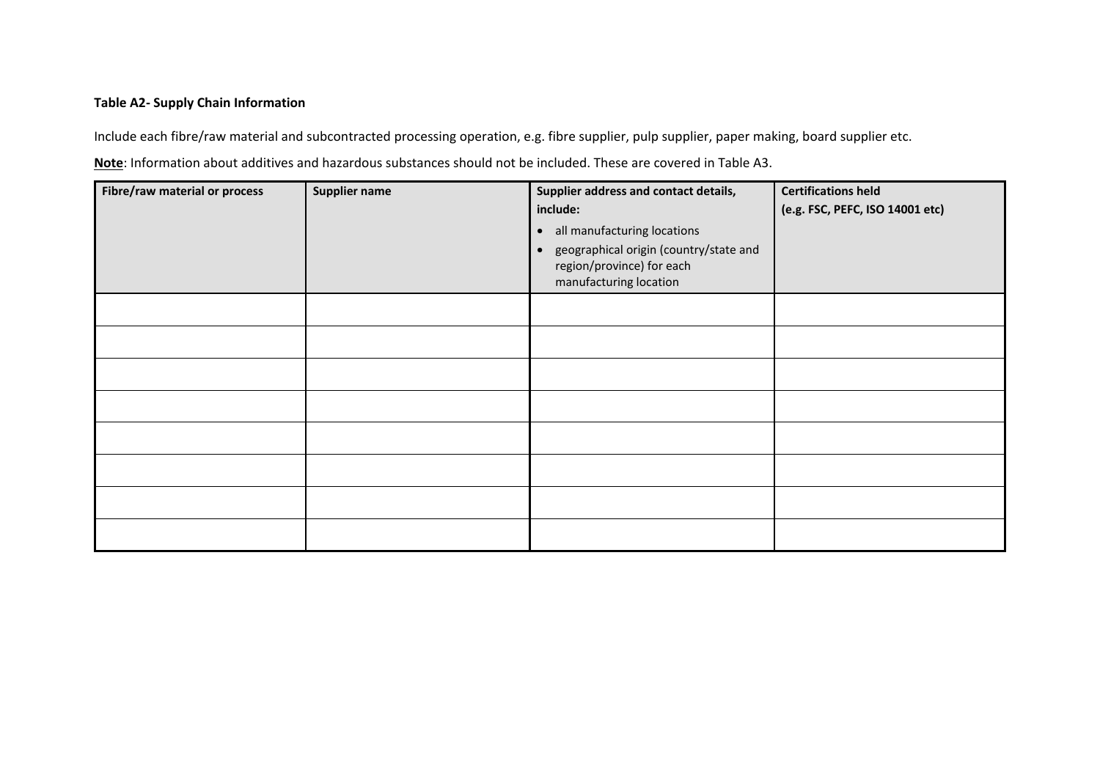# **Table A2- Supply Chain Information**

Include each fibre/raw material and subcontracted processing operation, e.g. fibre supplier, pulp supplier, paper making, board supplier etc.

**Note**: Information about additives and hazardous substances should not be included. These are covered in Table A3.

| Fibre/raw material or process | <b>Supplier name</b> | Supplier address and contact details,<br>include:<br>all manufacturing locations<br>$\bullet$<br>geographical origin (country/state and<br>$\bullet$<br>region/province) for each<br>manufacturing location | <b>Certifications held</b><br>(e.g. FSC, PEFC, ISO 14001 etc) |
|-------------------------------|----------------------|-------------------------------------------------------------------------------------------------------------------------------------------------------------------------------------------------------------|---------------------------------------------------------------|
|                               |                      |                                                                                                                                                                                                             |                                                               |
|                               |                      |                                                                                                                                                                                                             |                                                               |
|                               |                      |                                                                                                                                                                                                             |                                                               |
|                               |                      |                                                                                                                                                                                                             |                                                               |
|                               |                      |                                                                                                                                                                                                             |                                                               |
|                               |                      |                                                                                                                                                                                                             |                                                               |
|                               |                      |                                                                                                                                                                                                             |                                                               |
|                               |                      |                                                                                                                                                                                                             |                                                               |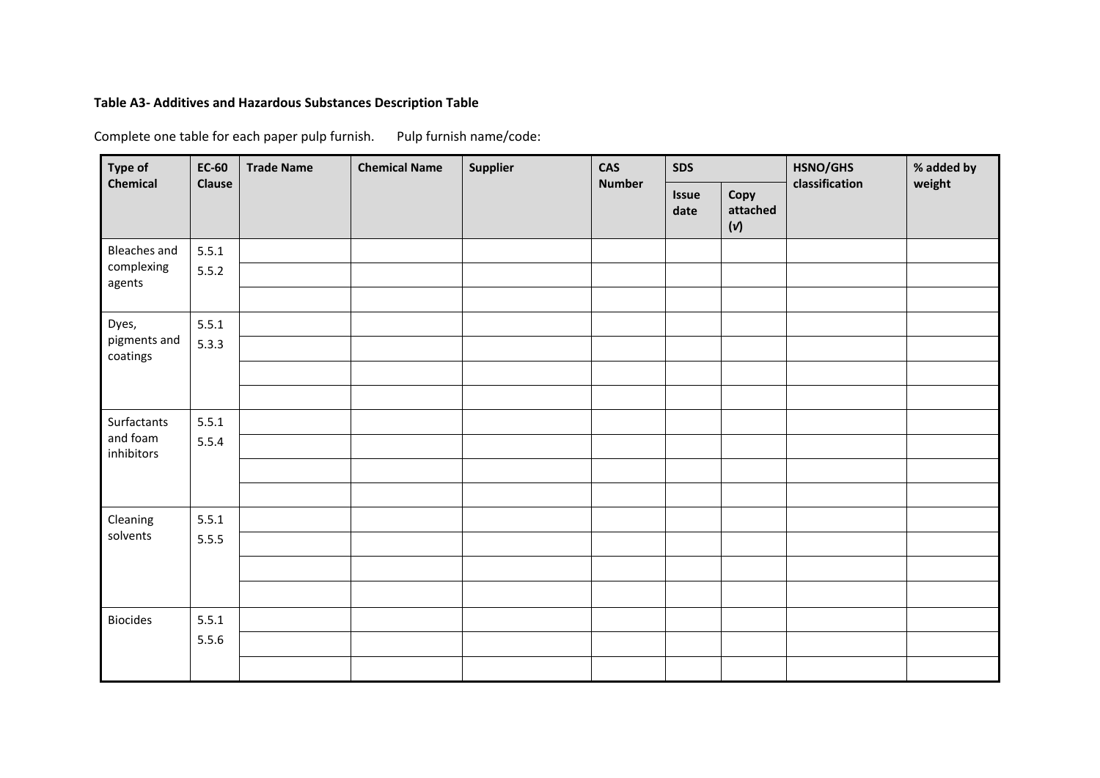# **Table A3- Additives and Hazardous Substances Description Table**

Complete one table for each paper pulp furnish. Pulp furnish name/code:

| Type of                  | <b>EC-60</b>  | <b>Trade Name</b> | <b>Chemical Name</b> | Supplier | <b>CAS</b>    | <b>SDS</b>    |                                    | HSNO/GHS       | % added by |
|--------------------------|---------------|-------------------|----------------------|----------|---------------|---------------|------------------------------------|----------------|------------|
| <b>Chemical</b>          | <b>Clause</b> |                   |                      |          | <b>Number</b> | Issue<br>date | Copy<br>attached<br>$(\mathsf{v})$ | classification | weight     |
| <b>Bleaches and</b>      | 5.5.1         |                   |                      |          |               |               |                                    |                |            |
| complexing<br>agents     | 5.5.2         |                   |                      |          |               |               |                                    |                |            |
|                          |               |                   |                      |          |               |               |                                    |                |            |
| Dyes,                    | 5.5.1         |                   |                      |          |               |               |                                    |                |            |
| pigments and<br>coatings | 5.3.3         |                   |                      |          |               |               |                                    |                |            |
|                          |               |                   |                      |          |               |               |                                    |                |            |
|                          |               |                   |                      |          |               |               |                                    |                |            |
| Surfactants              | 5.5.1         |                   |                      |          |               |               |                                    |                |            |
| and foam<br>inhibitors   | 5.5.4         |                   |                      |          |               |               |                                    |                |            |
|                          |               |                   |                      |          |               |               |                                    |                |            |
|                          |               |                   |                      |          |               |               |                                    |                |            |
| Cleaning                 | 5.5.1         |                   |                      |          |               |               |                                    |                |            |
| solvents                 | 5.5.5         |                   |                      |          |               |               |                                    |                |            |
|                          |               |                   |                      |          |               |               |                                    |                |            |
|                          |               |                   |                      |          |               |               |                                    |                |            |
| <b>Biocides</b>          | 5.5.1         |                   |                      |          |               |               |                                    |                |            |
|                          | 5.5.6         |                   |                      |          |               |               |                                    |                |            |
|                          |               |                   |                      |          |               |               |                                    |                |            |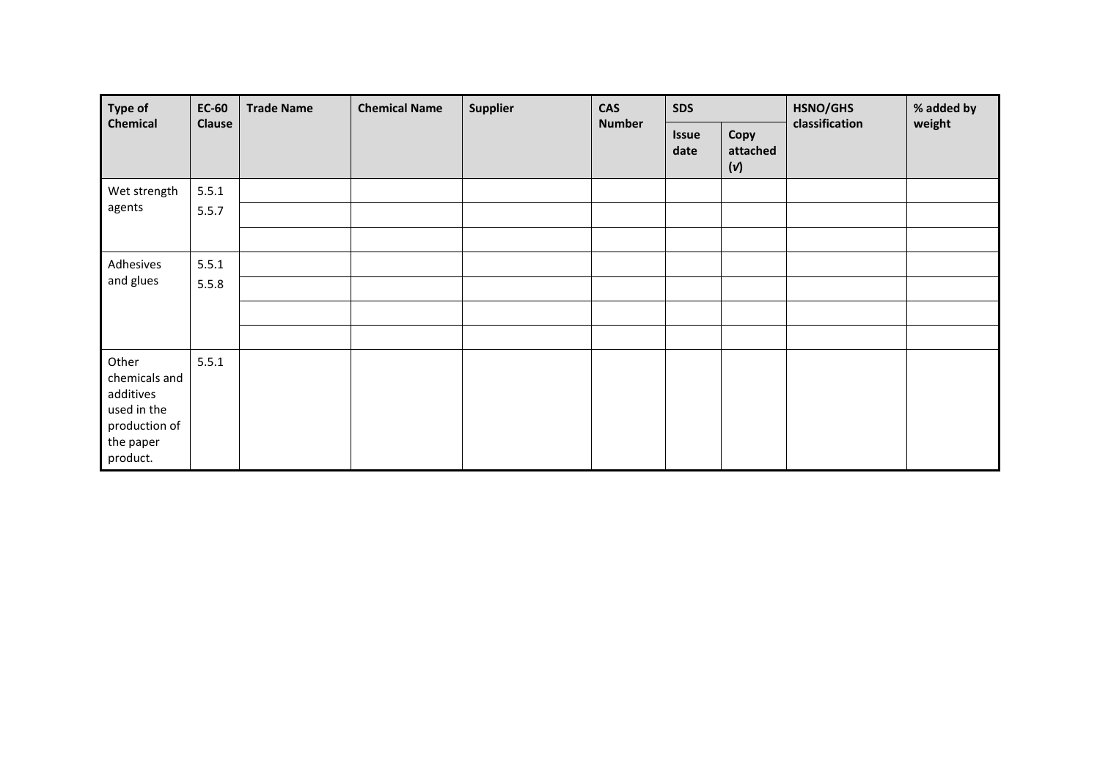| Type of                                                                                      | <b>EC-60</b>  | <b>Trade Name</b> | Supplier<br><b>Chemical Name</b> |  | <b>CAS</b><br><b>Number</b> | <b>SDS</b>           |                         | HSNO/GHS       | % added by |
|----------------------------------------------------------------------------------------------|---------------|-------------------|----------------------------------|--|-----------------------------|----------------------|-------------------------|----------------|------------|
| Chemical                                                                                     | <b>Clause</b> |                   |                                  |  |                             | <b>Issue</b><br>date | Copy<br>attached<br>(v) | classification | weight     |
| Wet strength                                                                                 | 5.5.1         |                   |                                  |  |                             |                      |                         |                |            |
| agents                                                                                       | 5.5.7         |                   |                                  |  |                             |                      |                         |                |            |
|                                                                                              |               |                   |                                  |  |                             |                      |                         |                |            |
| Adhesives                                                                                    | 5.5.1         |                   |                                  |  |                             |                      |                         |                |            |
| and glues                                                                                    | 5.5.8         |                   |                                  |  |                             |                      |                         |                |            |
|                                                                                              |               |                   |                                  |  |                             |                      |                         |                |            |
|                                                                                              |               |                   |                                  |  |                             |                      |                         |                |            |
| Other<br>chemicals and<br>additives<br>used in the<br>production of<br>the paper<br>product. | 5.5.1         |                   |                                  |  |                             |                      |                         |                |            |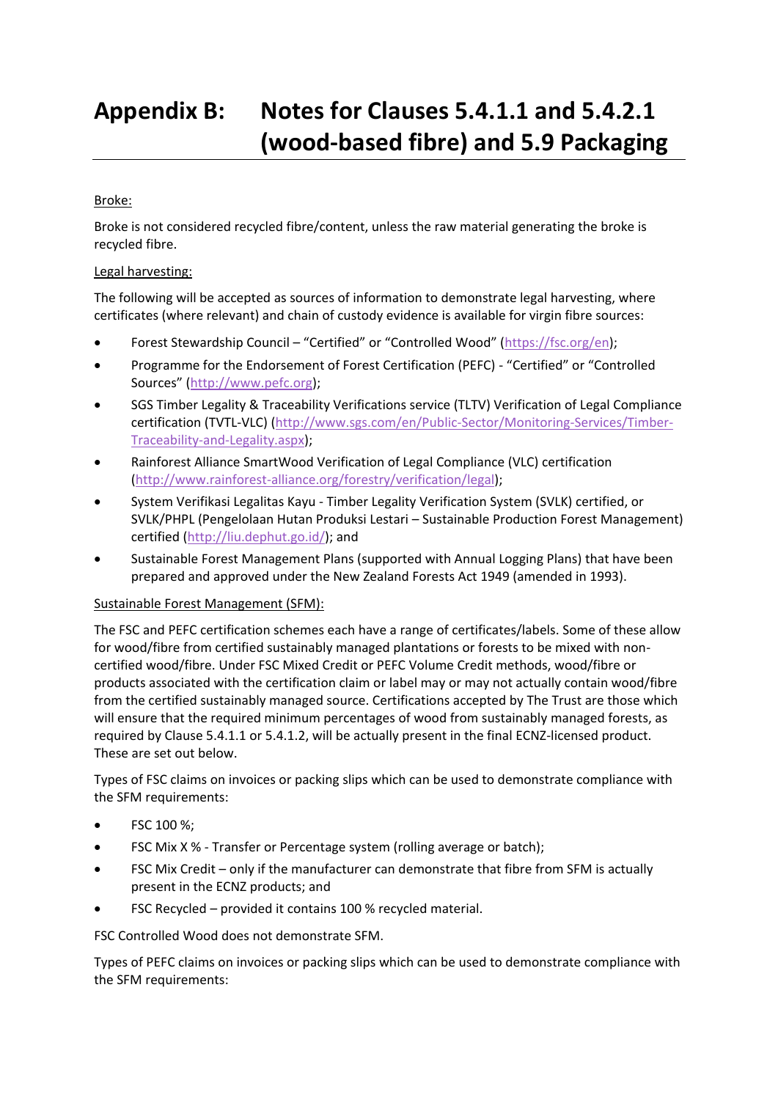# <span id="page-37-0"></span>**Appendix B: Notes for Clauses 5.4.1.1 and 5.4.2.1 (wood-based fibre) and 5.9 Packaging**

# Broke:

Broke is not considered recycled fibre/content, unless the raw material generating the broke is recycled fibre.

# Legal harvesting:

The following will be accepted as sources of information to demonstrate legal harvesting, where certificates (where relevant) and chain of custody evidence is available for virgin fibre sources:

- Forest Stewardship Council "Certified" or "Controlled Wood" ([https://fsc.org/en\)](https://fsc.org/en);
- Programme for the Endorsement of Forest Certification (PEFC) "Certified" or "Controlled Sources" ([http://www.pefc.org\)](http://www.pefc.org/);
- SGS Timber Legality & Traceability Verifications service (TLTV) Verification of Legal Compliance certification (TVTL-VLC) [\(http://www.sgs.com/en/Public-Sector/Monitoring-Services/Timber-](http://www.sgs.com/en/Public-Sector/Monitoring-Services/Timber-Traceability-and-Legality.aspx)[Traceability-and-Legality.aspx\)](http://www.sgs.com/en/Public-Sector/Monitoring-Services/Timber-Traceability-and-Legality.aspx);
- Rainforest Alliance SmartWood Verification of Legal Compliance (VLC) certification [\(http://www.rainforest-alliance.org/forestry/verification/legal\)](http://www.rainforest-alliance.org/forestry/verification/legal);
- System Verifikasi Legalitas Kayu Timber Legality Verification System (SVLK) certified, or SVLK/PHPL (Pengelolaan Hutan Produksi Lestari – Sustainable Production Forest Management) certified [\(http://liu.dephut.go.id/\)](http://liu.dephut.go.id/); and
- Sustainable Forest Management Plans (supported with Annual Logging Plans) that have been prepared and approved under the New Zealand Forests Act 1949 (amended in 1993).

#### Sustainable Forest Management (SFM):

The FSC and PEFC certification schemes each have a range of certificates/labels. Some of these allow for wood/fibre from certified sustainably managed plantations or forests to be mixed with noncertified wood/fibre. Under FSC Mixed Credit or PEFC Volume Credit methods, wood/fibre or products associated with the certification claim or label may or may not actually contain wood/fibre from the certified sustainably managed source. Certifications accepted by The Trust are those which will ensure that the required minimum percentages of wood from sustainably managed forests, as required by Clause 5.4.1.1 or 5.4.1.2, will be actually present in the final ECNZ-licensed product. These are set out below.

Types of FSC claims on invoices or packing slips which can be used to demonstrate compliance with the SFM requirements:

- FSC 100 %;
- FSC Mix X % Transfer or Percentage system (rolling average or batch);
- FSC Mix Credit only if the manufacturer can demonstrate that fibre from SFM is actually present in the ECNZ products; and
- FSC Recycled provided it contains 100 % recycled material.

FSC Controlled Wood does not demonstrate SFM.

Types of PEFC claims on invoices or packing slips which can be used to demonstrate compliance with the SFM requirements: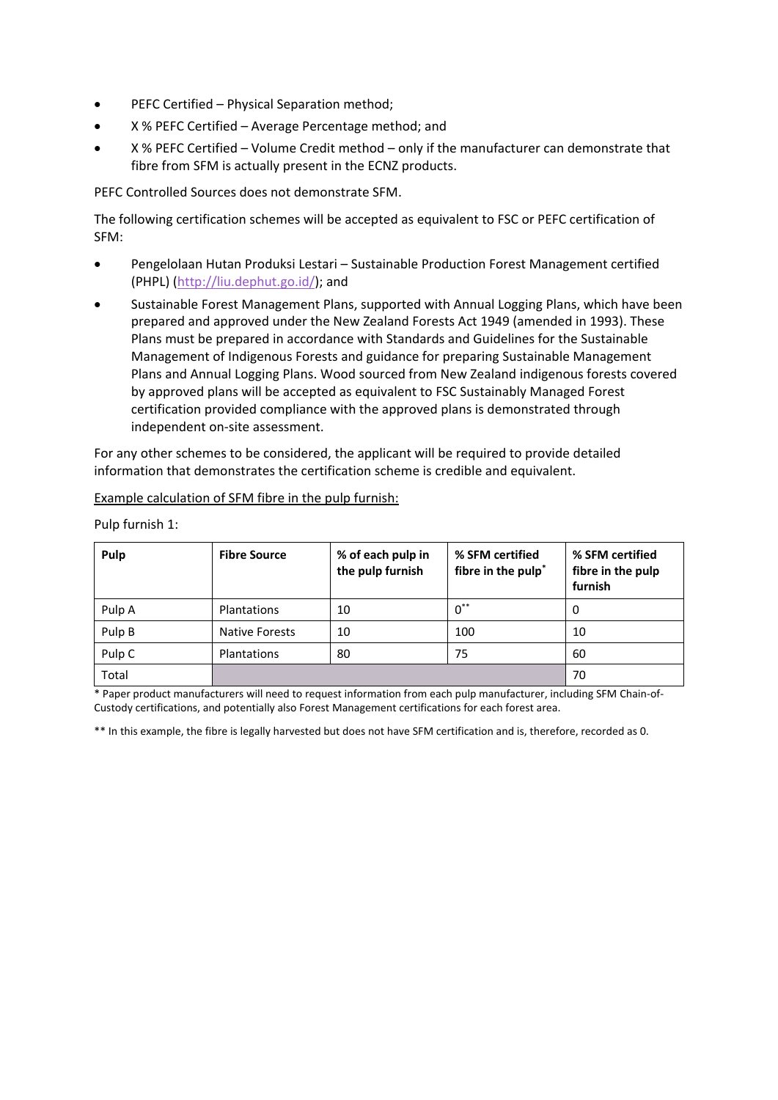- PEFC Certified Physical Separation method;
- X % PEFC Certified Average Percentage method; and
- X % PEFC Certified Volume Credit method only if the manufacturer can demonstrate that fibre from SFM is actually present in the ECNZ products.

PEFC Controlled Sources does not demonstrate SFM.

The following certification schemes will be accepted as equivalent to FSC or PEFC certification of SFM:

- Pengelolaan Hutan Produksi Lestari Sustainable Production Forest Management certified (PHPL) [\(http://liu.dephut.go.id/\)](http://liu.dephut.go.id/); and
- Sustainable Forest Management Plans, supported with Annual Logging Plans, which have been prepared and approved under the New Zealand Forests Act 1949 (amended in 1993). These Plans must be prepared in accordance with Standards and Guidelines for the Sustainable Management of Indigenous Forests and guidance for preparing Sustainable Management Plans and Annual Logging Plans. Wood sourced from New Zealand indigenous forests covered by approved plans will be accepted as equivalent to FSC Sustainably Managed Forest certification provided compliance with the approved plans is demonstrated through independent on-site assessment.

For any other schemes to be considered, the applicant will be required to provide detailed information that demonstrates the certification scheme is credible and equivalent.

| Pulp   | <b>Fibre Source</b>   | % of each pulp in<br>the pulp furnish | % SFM certified<br>fibre in the pulp <sup>*</sup> | % SFM certified<br>fibre in the pulp<br>furnish |
|--------|-----------------------|---------------------------------------|---------------------------------------------------|-------------------------------------------------|
| Pulp A | Plantations           | 10                                    | $0^{**}$                                          | υ                                               |
| Pulp B | <b>Native Forests</b> | 10                                    | 100                                               | 10                                              |
| Pulp C | Plantations           | 80                                    | 75                                                | 60                                              |
| Total  |                       |                                       |                                                   | 70                                              |

Example calculation of SFM fibre in the pulp furnish:

Pulp furnish 1:

\* Paper product manufacturers will need to request information from each pulp manufacturer, including SFM Chain-of-Custody certifications, and potentially also Forest Management certifications for each forest area.

\*\* In this example, the fibre is legally harvested but does not have SFM certification and is, therefore, recorded as 0.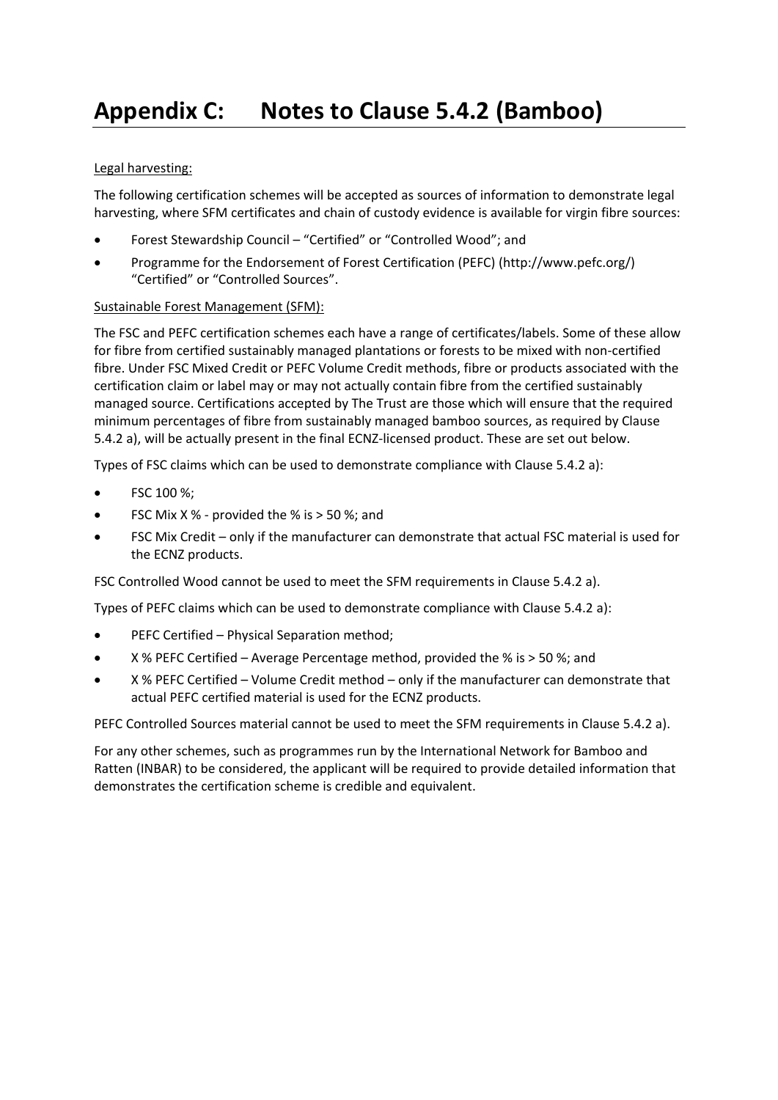# <span id="page-39-0"></span>**Appendix C: Notes to Clause 5.4.2 (Bamboo)**

# Legal harvesting:

The following certification schemes will be accepted as sources of information to demonstrate legal harvesting, where SFM certificates and chain of custody evidence is available for virgin fibre sources:

- Forest Stewardship Council "Certified" or "Controlled Wood"; and
- Programme for the Endorsement of Forest Certification (PEFC) (http://www.pefc.org/) "Certified" or "Controlled Sources".

# Sustainable Forest Management (SFM):

The FSC and PEFC certification schemes each have a range of certificates/labels. Some of these allow for fibre from certified sustainably managed plantations or forests to be mixed with non-certified fibre. Under FSC Mixed Credit or PEFC Volume Credit methods, fibre or products associated with the certification claim or label may or may not actually contain fibre from the certified sustainably managed source. Certifications accepted by The Trust are those which will ensure that the required minimum percentages of fibre from sustainably managed bamboo sources, as required by Clause 5.4.2 a), will be actually present in the final ECNZ-licensed product. These are set out below.

Types of FSC claims which can be used to demonstrate compliance with Clause 5.4.2 a):

- FSC 100 %;
- FSC Mix X % provided the % is  $>$  50 %; and
- FSC Mix Credit only if the manufacturer can demonstrate that actual FSC material is used for the ECNZ products.

FSC Controlled Wood cannot be used to meet the SFM requirements in Clause 5.4.2 a).

Types of PEFC claims which can be used to demonstrate compliance with Clause 5.4.2 a):

- PEFC Certified Physical Separation method;
- $\times$  % PEFC Certified Average Percentage method, provided the % is  $>$  50 %; and
- X % PEFC Certified Volume Credit method only if the manufacturer can demonstrate that actual PEFC certified material is used for the ECNZ products.

PEFC Controlled Sources material cannot be used to meet the SFM requirements in Clause 5.4.2 a).

For any other schemes, such as programmes run by the International Network for Bamboo and Ratten (INBAR) to be considered, the applicant will be required to provide detailed information that demonstrates the certification scheme is credible and equivalent.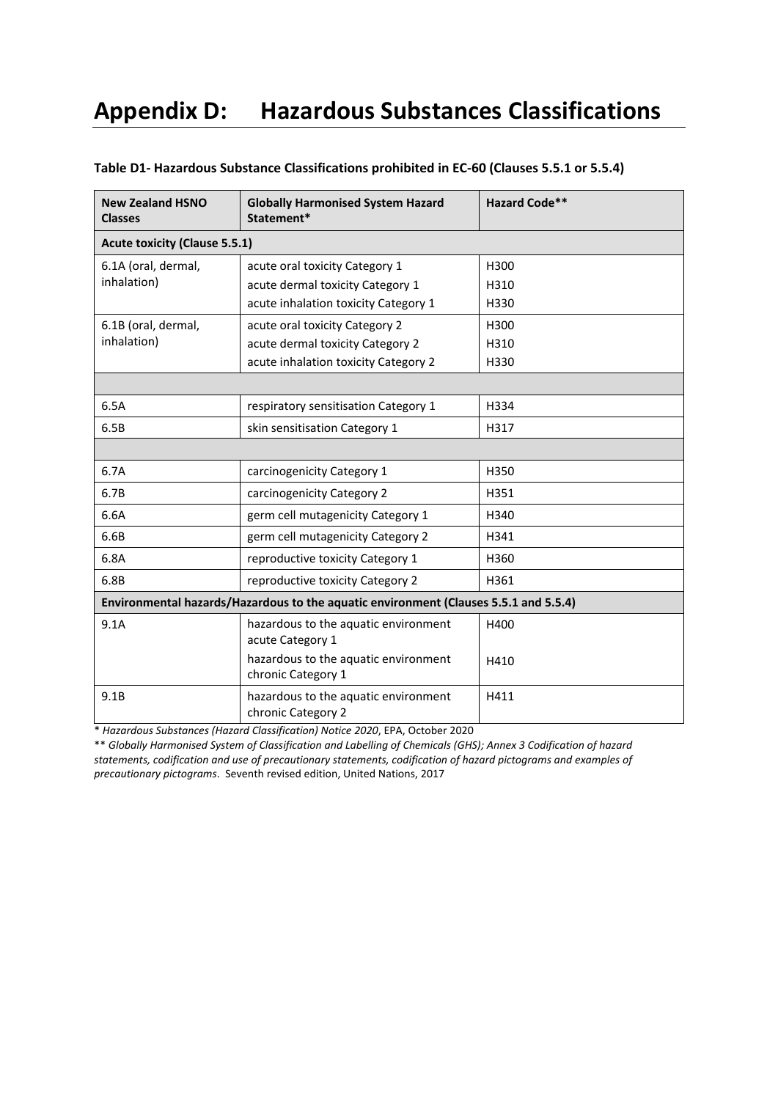# <span id="page-40-0"></span>**Appendix D: Hazardous Substances Classifications**

| <b>New Zealand HSNO</b><br><b>Classes</b>                                            | <b>Globally Harmonised System Hazard</b><br>Statement*     | <b>Hazard Code**</b> |  |  |  |
|--------------------------------------------------------------------------------------|------------------------------------------------------------|----------------------|--|--|--|
| <b>Acute toxicity (Clause 5.5.1)</b>                                                 |                                                            |                      |  |  |  |
| 6.1A (oral, dermal,<br>inhalation)                                                   | acute oral toxicity Category 1                             | H300                 |  |  |  |
|                                                                                      | acute dermal toxicity Category 1                           | H310                 |  |  |  |
|                                                                                      | acute inhalation toxicity Category 1                       | H330                 |  |  |  |
| 6.1B (oral, dermal,                                                                  | acute oral toxicity Category 2                             | H300                 |  |  |  |
| inhalation)                                                                          | acute dermal toxicity Category 2                           | H310                 |  |  |  |
|                                                                                      | acute inhalation toxicity Category 2                       | H330                 |  |  |  |
|                                                                                      |                                                            |                      |  |  |  |
| 6.5A                                                                                 | respiratory sensitisation Category 1                       | H334                 |  |  |  |
| 6.5B                                                                                 | skin sensitisation Category 1                              | H317                 |  |  |  |
|                                                                                      |                                                            |                      |  |  |  |
| 6.7A                                                                                 | carcinogenicity Category 1                                 | H350                 |  |  |  |
| 6.7B                                                                                 | carcinogenicity Category 2                                 | H351                 |  |  |  |
| 6.6A                                                                                 | germ cell mutagenicity Category 1                          | H340                 |  |  |  |
| 6.6B                                                                                 | germ cell mutagenicity Category 2                          | H341                 |  |  |  |
| 6.8A                                                                                 | reproductive toxicity Category 1                           | H360                 |  |  |  |
| 6.8B                                                                                 | reproductive toxicity Category 2                           | H361                 |  |  |  |
| Environmental hazards/Hazardous to the aquatic environment (Clauses 5.5.1 and 5.5.4) |                                                            |                      |  |  |  |
| 9.1A                                                                                 | hazardous to the aquatic environment<br>acute Category 1   | H400                 |  |  |  |
|                                                                                      | hazardous to the aquatic environment<br>chronic Category 1 | H410                 |  |  |  |
| 9.1B                                                                                 | hazardous to the aquatic environment<br>chronic Category 2 | H411                 |  |  |  |

#### **Table D1- Hazardous Substance Classifications prohibited in EC-60 (Clauses 5.5.1 or 5.5.4)**

\* *Hazardous Substances (Hazard Classification) Notice 2020*, EPA, October 2020

\*\* *Globally Harmonised System of Classification and Labelling of Chemicals (GHS); Annex 3 Codification of hazard statements, codification and use of precautionary statements, codification of hazard pictograms and examples of precautionary pictograms*. Seventh revised edition, United Nations, 2017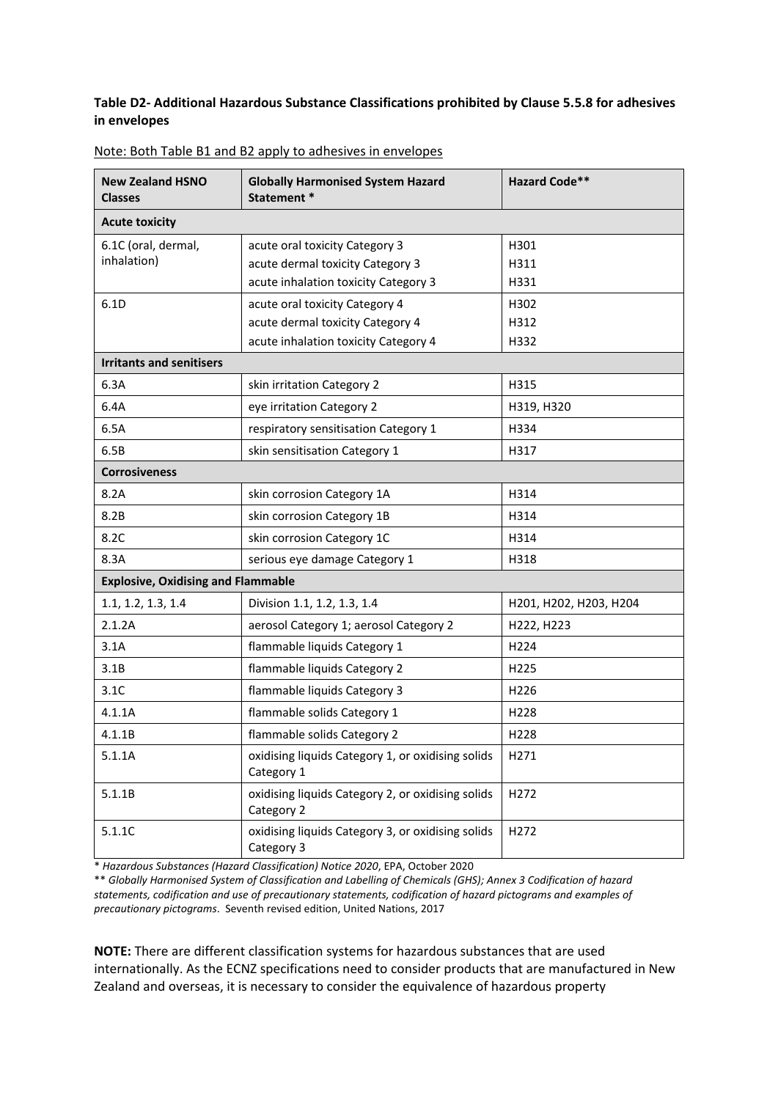### **Table D2- Additional Hazardous Substance Classifications prohibited by Clause 5.5.8 for adhesives in envelopes**

| <b>New Zealand HSNO</b><br><b>Classes</b> | <b>Globally Harmonised System Hazard</b><br>Statement *         | <b>Hazard Code**</b>   |
|-------------------------------------------|-----------------------------------------------------------------|------------------------|
| <b>Acute toxicity</b>                     |                                                                 |                        |
| 6.1C (oral, dermal,                       | acute oral toxicity Category 3                                  | H301                   |
| inhalation)                               | acute dermal toxicity Category 3                                | H311                   |
|                                           | acute inhalation toxicity Category 3                            | H331                   |
| 6.1D                                      | acute oral toxicity Category 4                                  | H302                   |
|                                           | acute dermal toxicity Category 4                                | H312                   |
|                                           | acute inhalation toxicity Category 4                            | H332                   |
| <b>Irritants and senitisers</b>           |                                                                 |                        |
| 6.3A                                      | skin irritation Category 2                                      | H315                   |
| 6.4A                                      | eye irritation Category 2                                       | H319, H320             |
| 6.5A                                      | respiratory sensitisation Category 1                            | H334                   |
| 6.5B                                      | skin sensitisation Category 1                                   | H317                   |
| <b>Corrosiveness</b>                      |                                                                 |                        |
| 8.2A                                      | skin corrosion Category 1A                                      | H314                   |
| 8.2B                                      | skin corrosion Category 1B                                      | H314                   |
| 8.2C                                      | skin corrosion Category 1C                                      | H314                   |
| 8.3A                                      | serious eye damage Category 1                                   | H318                   |
| <b>Explosive, Oxidising and Flammable</b> |                                                                 |                        |
| 1.1, 1.2, 1.3, 1.4                        | Division 1.1, 1.2, 1.3, 1.4                                     | H201, H202, H203, H204 |
| 2.1.2A                                    | aerosol Category 1; aerosol Category 2                          | H222, H223             |
| 3.1A                                      | flammable liquids Category 1                                    | H <sub>224</sub>       |
| 3.1B                                      | flammable liquids Category 2                                    | H <sub>225</sub>       |
| 3.1C                                      | flammable liquids Category 3                                    | H <sub>226</sub>       |
| 4.1.1A                                    | flammable solids Category 1                                     | H <sub>228</sub>       |
| 4.1.1B                                    | flammable solids Category 2                                     | H228                   |
| 5.1.1A                                    | oxidising liquids Category 1, or oxidising solids<br>Category 1 | H <sub>271</sub>       |
| 5.1.1B                                    | oxidising liquids Category 2, or oxidising solids<br>Category 2 | H272                   |
| 5.1.1C                                    | oxidising liquids Category 3, or oxidising solids<br>Category 3 | H272                   |

| Note: Both Table B1 and B2 apply to adhesives in envelopes |
|------------------------------------------------------------|
|------------------------------------------------------------|

\* *Hazardous Substances (Hazard Classification) Notice 2020*, EPA, October 2020

\*\* *Globally Harmonised System of Classification and Labelling of Chemicals (GHS); Annex 3 Codification of hazard statements, codification and use of precautionary statements, codification of hazard pictograms and examples of precautionary pictograms*. Seventh revised edition, United Nations, 2017

**NOTE:** There are different classification systems for hazardous substances that are used internationally. As the ECNZ specifications need to consider products that are manufactured in New Zealand and overseas, it is necessary to consider the equivalence of hazardous property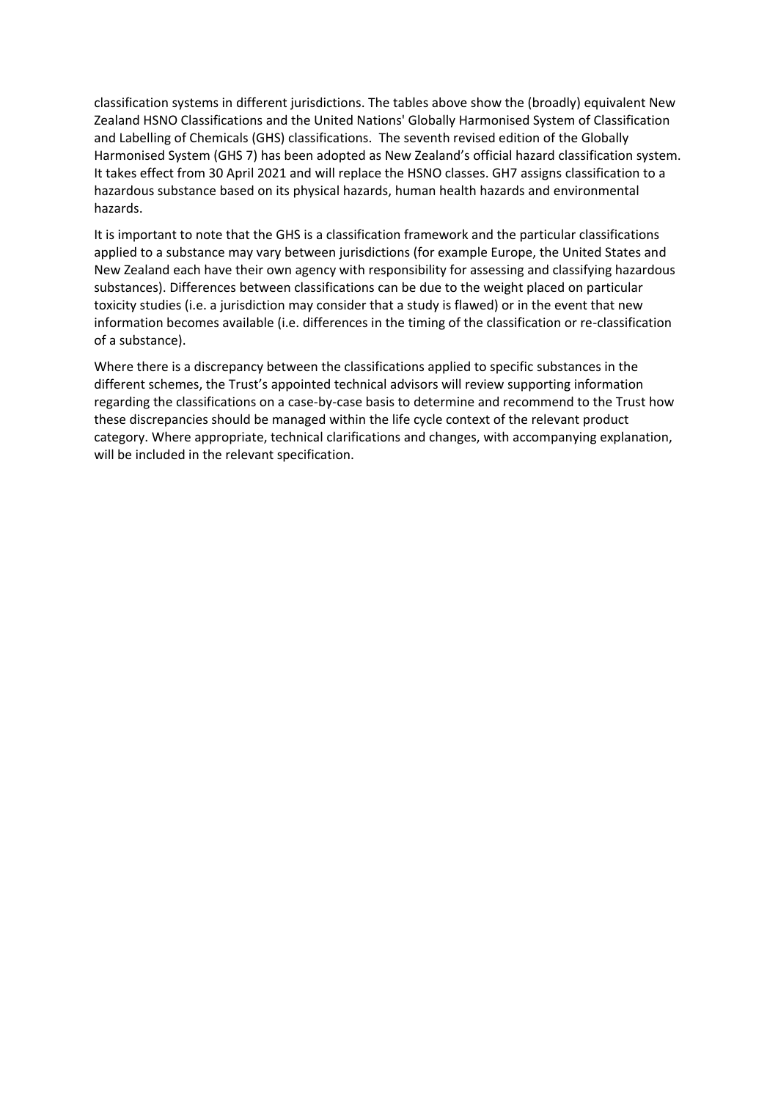classification systems in different jurisdictions. The tables above show the (broadly) equivalent New Zealand HSNO Classifications and the United Nations' Globally Harmonised System of Classification and Labelling of Chemicals (GHS) classifications. The seventh revised edition of the Globally Harmonised System (GHS 7) has been adopted as New Zealand's official hazard classification system. It takes effect from 30 April 2021 and will replace the HSNO classes. GH7 assigns classification to a hazardous substance based on its physical hazards, human health hazards and environmental hazards.

It is important to note that the GHS is a classification framework and the particular classifications applied to a substance may vary between jurisdictions (for example Europe, the United States and New Zealand each have their own agency with responsibility for assessing and classifying hazardous substances). Differences between classifications can be due to the weight placed on particular toxicity studies (i.e. a jurisdiction may consider that a study is flawed) or in the event that new information becomes available (i.e. differences in the timing of the classification or re-classification of a substance).

Where there is a discrepancy between the classifications applied to specific substances in the different schemes, the Trust's appointed technical advisors will review supporting information regarding the classifications on a case-by-case basis to determine and recommend to the Trust how these discrepancies should be managed within the life cycle context of the relevant product category. Where appropriate, technical clarifications and changes, with accompanying explanation, will be included in the relevant specification.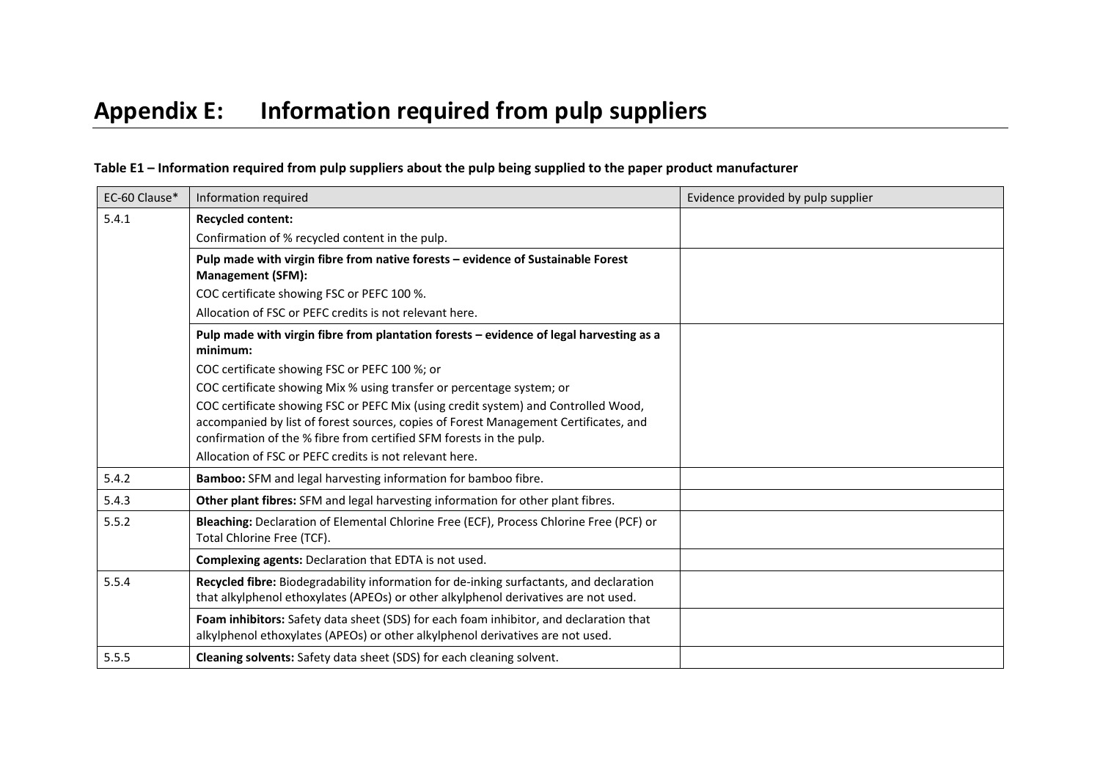<span id="page-43-0"></span>

| EC-60 Clause* | Information required                                                                                                                                                                                                                              | Evidence provided by pulp supplier |
|---------------|---------------------------------------------------------------------------------------------------------------------------------------------------------------------------------------------------------------------------------------------------|------------------------------------|
| 5.4.1         | <b>Recycled content:</b>                                                                                                                                                                                                                          |                                    |
|               | Confirmation of % recycled content in the pulp.                                                                                                                                                                                                   |                                    |
|               | Pulp made with virgin fibre from native forests - evidence of Sustainable Forest<br><b>Management (SFM):</b>                                                                                                                                      |                                    |
|               | COC certificate showing FSC or PEFC 100 %.                                                                                                                                                                                                        |                                    |
|               | Allocation of FSC or PEFC credits is not relevant here.                                                                                                                                                                                           |                                    |
|               | Pulp made with virgin fibre from plantation forests - evidence of legal harvesting as a<br>minimum:                                                                                                                                               |                                    |
|               | COC certificate showing FSC or PEFC 100 %; or                                                                                                                                                                                                     |                                    |
|               | COC certificate showing Mix % using transfer or percentage system; or                                                                                                                                                                             |                                    |
|               | COC certificate showing FSC or PEFC Mix (using credit system) and Controlled Wood,<br>accompanied by list of forest sources, copies of Forest Management Certificates, and<br>confirmation of the % fibre from certified SFM forests in the pulp. |                                    |
|               | Allocation of FSC or PEFC credits is not relevant here.                                                                                                                                                                                           |                                    |
| 5.4.2         | Bamboo: SFM and legal harvesting information for bamboo fibre.                                                                                                                                                                                    |                                    |
| 5.4.3         | Other plant fibres: SFM and legal harvesting information for other plant fibres.                                                                                                                                                                  |                                    |
| 5.5.2         | Bleaching: Declaration of Elemental Chlorine Free (ECF), Process Chlorine Free (PCF) or<br>Total Chlorine Free (TCF).                                                                                                                             |                                    |
|               | Complexing agents: Declaration that EDTA is not used.                                                                                                                                                                                             |                                    |
| 5.5.4         | Recycled fibre: Biodegradability information for de-inking surfactants, and declaration<br>that alkylphenol ethoxylates (APEOs) or other alkylphenol derivatives are not used.                                                                    |                                    |
|               | Foam inhibitors: Safety data sheet (SDS) for each foam inhibitor, and declaration that<br>alkylphenol ethoxylates (APEOs) or other alkylphenol derivatives are not used.                                                                          |                                    |
| 5.5.5         | Cleaning solvents: Safety data sheet (SDS) for each cleaning solvent.                                                                                                                                                                             |                                    |

# **Table E1 – Information required from pulp suppliers about the pulp being supplied to the paper product manufacturer**